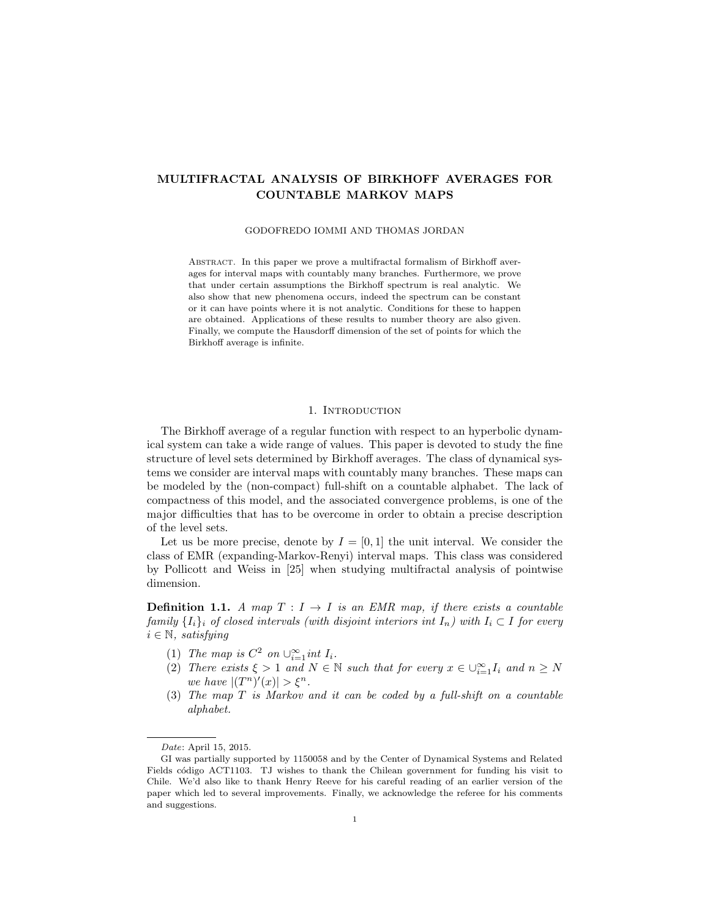# MULTIFRACTAL ANALYSIS OF BIRKHOFF AVERAGES FOR COUNTABLE MARKOV MAPS

#### GODOFREDO IOMMI AND THOMAS JORDAN

Abstract. In this paper we prove a multifractal formalism of Birkhoff averages for interval maps with countably many branches. Furthermore, we prove that under certain assumptions the Birkhoff spectrum is real analytic. We also show that new phenomena occurs, indeed the spectrum can be constant or it can have points where it is not analytic. Conditions for these to happen are obtained. Applications of these results to number theory are also given. Finally, we compute the Hausdorff dimension of the set of points for which the Birkhoff average is infinite.

### 1. INTRODUCTION

The Birkhoff average of a regular function with respect to an hyperbolic dynamical system can take a wide range of values. This paper is devoted to study the fine structure of level sets determined by Birkhoff averages. The class of dynamical systems we consider are interval maps with countably many branches. These maps can be modeled by the (non-compact) full-shift on a countable alphabet. The lack of compactness of this model, and the associated convergence problems, is one of the major difficulties that has to be overcome in order to obtain a precise description of the level sets.

Let us be more precise, denote by  $I = [0, 1]$  the unit interval. We consider the class of EMR (expanding-Markov-Renyi) interval maps. This class was considered by Pollicott and Weiss in [25] when studying multifractal analysis of pointwise dimension.

**Definition 1.1.** A map  $T: I \rightarrow I$  is an EMR map, if there exists a countable family  $\{I_i\}_i$  of closed intervals (with disjoint interiors int  $I_n$ ) with  $I_i \subset I$  for every  $i \in \mathbb{N}$ , satisfying

- (1) The map is  $C^2$  on  $\bigcup_{i=1}^{\infty} int I_i$ .
- (2) There exists  $\xi > 1$  and  $N \in \mathbb{N}$  such that for every  $x \in \bigcup_{i=1}^{\infty} I_i$  and  $n \geq N$ we have  $|(T^n)'(x)| > \xi^n$ .
- (3) The map T is Markov and it can be coded by a full-shift on a countable alphabet.

Date: April 15, 2015.

GI was partially supported by 1150058 and by the Center of Dynamical Systems and Related Fields código ACT1103. TJ wishes to thank the Chilean government for funding his visit to Chile. We'd also like to thank Henry Reeve for his careful reading of an earlier version of the paper which led to several improvements. Finally, we acknowledge the referee for his comments and suggestions.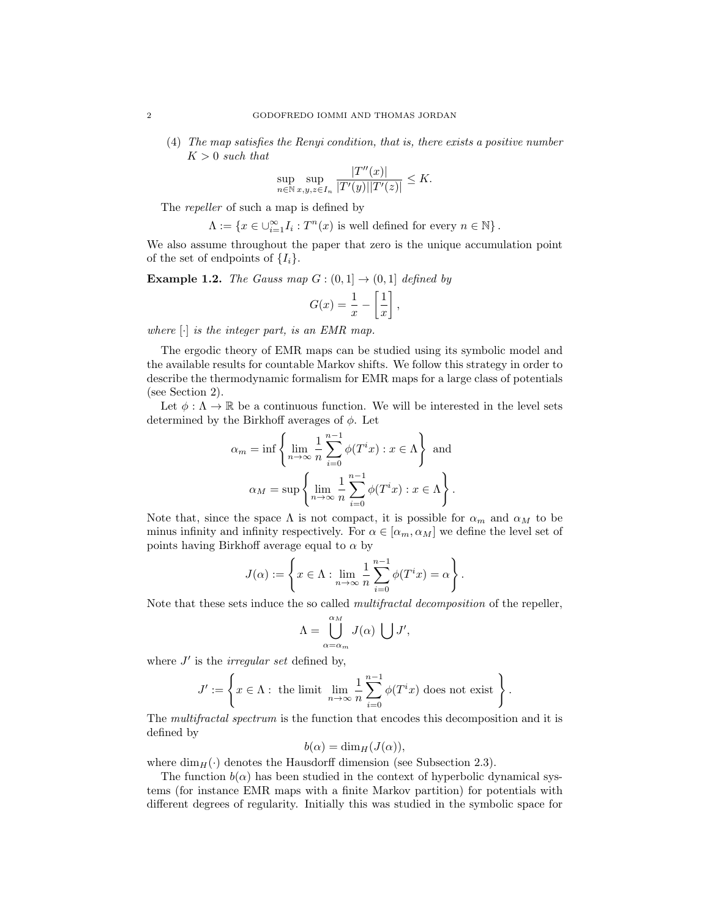(4) The map satisfies the Renyi condition, that is, there exists a positive number  $K > 0$  such that

$$
\sup_{n \in \mathbb{N}} \sup_{x,y,z \in I_n} \frac{|T''(x)|}{|T'(y)||T'(z)|} \leq K.
$$

The *repeller* of such a map is defined by

$$
\Lambda:=\left\{x\in \cup_{i=1}^\infty I_i: T^n(x)\text{ is well defined for every }n\in\mathbb{N}\right\}.
$$

We also assume throughout the paper that zero is the unique accumulation point of the set of endpoints of  $\{I_i\}$ .

**Example 1.2.** The Gauss map  $G : (0,1] \rightarrow (0,1]$  defined by

$$
G(x) = \frac{1}{x} - \left[\frac{1}{x}\right],
$$

where  $[\cdot]$  is the integer part, is an EMR map.

The ergodic theory of EMR maps can be studied using its symbolic model and the available results for countable Markov shifts. We follow this strategy in order to describe the thermodynamic formalism for EMR maps for a large class of potentials (see Section 2).

Let  $\phi : \Lambda \to \mathbb{R}$  be a continuous function. We will be interested in the level sets determined by the Birkhoff averages of  $\phi$ . Let

$$
\alpha_m = \inf \left\{ \lim_{n \to \infty} \frac{1}{n} \sum_{i=0}^{n-1} \phi(T^i x) : x \in \Lambda \right\} \text{ and}
$$

$$
\alpha_M = \sup \left\{ \lim_{n \to \infty} \frac{1}{n} \sum_{i=0}^{n-1} \phi(T^i x) : x \in \Lambda \right\}.
$$

Note that, since the space  $\Lambda$  is not compact, it is possible for  $\alpha_m$  and  $\alpha_M$  to be minus infinity and infinity respectively. For  $\alpha \in [\alpha_m, \alpha_M]$  we define the level set of points having Birkhoff average equal to  $\alpha$  by

$$
J(\alpha):=\left\{x\in \Lambda: \lim_{n\to\infty}\frac{1}{n}\sum_{i=0}^{n-1}\phi(T^ix)=\alpha\right\}.
$$

Note that these sets induce the so called *multifractal decomposition* of the repeller,

$$
\Lambda = \bigcup_{\alpha = \alpha_m}^{\alpha_M} J(\alpha) \ \bigcup J',
$$

where  $J'$  is the *irregular set* defined by,

$$
J':=\left\{x\in \Lambda: \text{ the limit } \lim_{n\to\infty}\frac{1}{n}\sum_{i=0}^{n-1}\phi(T^ix) \text{ does not exist }\right\}.
$$

The multifractal spectrum is the function that encodes this decomposition and it is defined by

$$
b(\alpha) = \dim_H(J(\alpha)),
$$

where  $\dim_H(\cdot)$  denotes the Hausdorff dimension (see Subsection 2.3).

The function  $b(\alpha)$  has been studied in the context of hyperbolic dynamical systems (for instance EMR maps with a finite Markov partition) for potentials with different degrees of regularity. Initially this was studied in the symbolic space for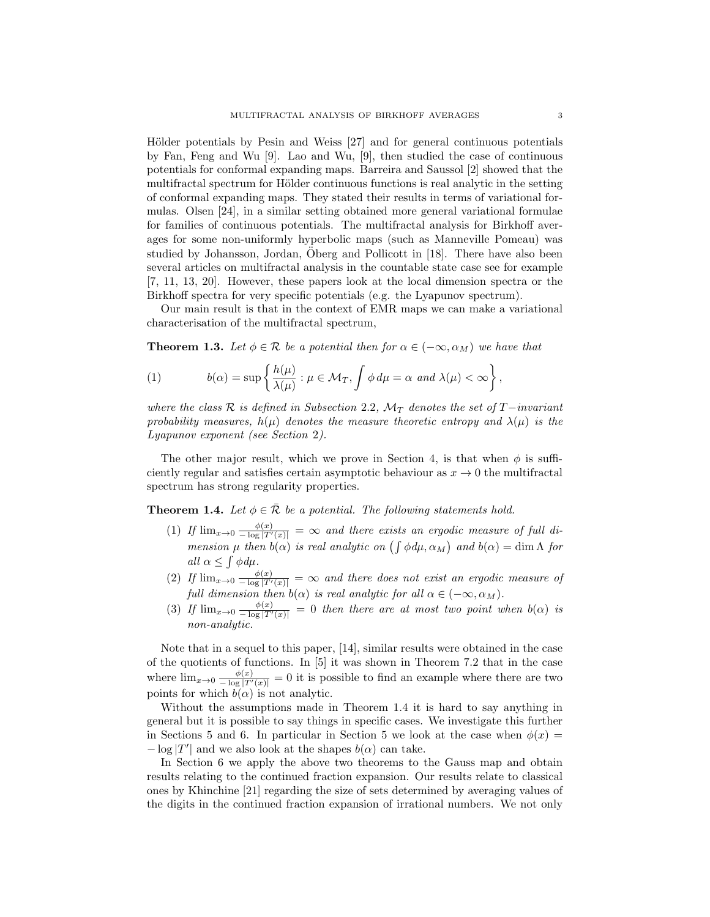Hölder potentials by Pesin and Weiss [27] and for general continuous potentials by Fan, Feng and Wu [9]. Lao and Wu, [9], then studied the case of continuous potentials for conformal expanding maps. Barreira and Saussol [2] showed that the multifractal spectrum for Hölder continuous functions is real analytic in the setting of conformal expanding maps. They stated their results in terms of variational formulas. Olsen [24], in a similar setting obtained more general variational formulae for families of continuous potentials. The multifractal analysis for Birkhoff averages for some non-uniformly hyperbolic maps (such as Manneville Pomeau) was studied by Johansson, Jordan,  $\overline{O}$ berg and Pollicott in [18]. There have also been several articles on multifractal analysis in the countable state case see for example [7, 11, 13, 20]. However, these papers look at the local dimension spectra or the Birkhoff spectra for very specific potentials (e.g. the Lyapunov spectrum).

Our main result is that in the context of EMR maps we can make a variational characterisation of the multifractal spectrum,

**Theorem 1.3.** Let  $\phi \in \mathcal{R}$  be a potential then for  $\alpha \in (-\infty, \alpha_M)$  we have that

(1) 
$$
b(\alpha) = \sup \left\{ \frac{h(\mu)}{\lambda(\mu)} : \mu \in \mathcal{M}_T, \int \phi \, d\mu = \alpha \text{ and } \lambda(\mu) < \infty \right\},
$$

where the class R is defined in Subsection 2.2,  $\mathcal{M}_T$  denotes the set of T−invariant probability measures,  $h(\mu)$  denotes the measure theoretic entropy and  $\lambda(\mu)$  is the Lyapunov exponent (see Section 2).

The other major result, which we prove in Section 4, is that when  $\phi$  is sufficiently regular and satisfies certain asymptotic behaviour as  $x \to 0$  the multifractal spectrum has strong regularity properties.

**Theorem 1.4.** Let  $\phi \in \overline{\mathcal{R}}$  be a potential. The following statements hold.

- (1) If  $\lim_{x\to 0} \frac{\phi(x)}{-\log |T'(x)|} = \infty$  and there exists an ergodic measure of full dimension  $\mu$  then  $b(\alpha)$  is real analytic on  $(\int \phi d\mu, \alpha_M)$  and  $b(\alpha) = \dim \Lambda$  for all  $\alpha \leq \int \phi \, d\mu$ .
- (2) If  $\lim_{x\to 0} \frac{\phi(x)}{-\log |T'(x)|} = \infty$  and there does not exist an ergodic measure of full dimension then  $b(\alpha)$  is real analytic for all  $\alpha \in (-\infty, \alpha_M)$ .
- (3) If  $\lim_{x\to 0} \frac{\phi(x)}{-\log |T'(x)|} = 0$  then there are at most two point when  $b(\alpha)$  is non-analytic.

Note that in a sequel to this paper, [14], similar results were obtained in the case of the quotients of functions. In [5] it was shown in Theorem 7.2 that in the case where  $\lim_{x\to 0} \frac{\phi(x)}{-\log |T'(x)|} = 0$  it is possible to find an example where there are two points for which  $b(\alpha)$  is not analytic.

Without the assumptions made in Theorem 1.4 it is hard to say anything in general but it is possible to say things in specific cases. We investigate this further in Sections 5 and 6. In particular in Section 5 we look at the case when  $\phi(x)$  =  $-\log|T'|$  and we also look at the shapes  $b(\alpha)$  can take.

In Section 6 we apply the above two theorems to the Gauss map and obtain results relating to the continued fraction expansion. Our results relate to classical ones by Khinchine [21] regarding the size of sets determined by averaging values of the digits in the continued fraction expansion of irrational numbers. We not only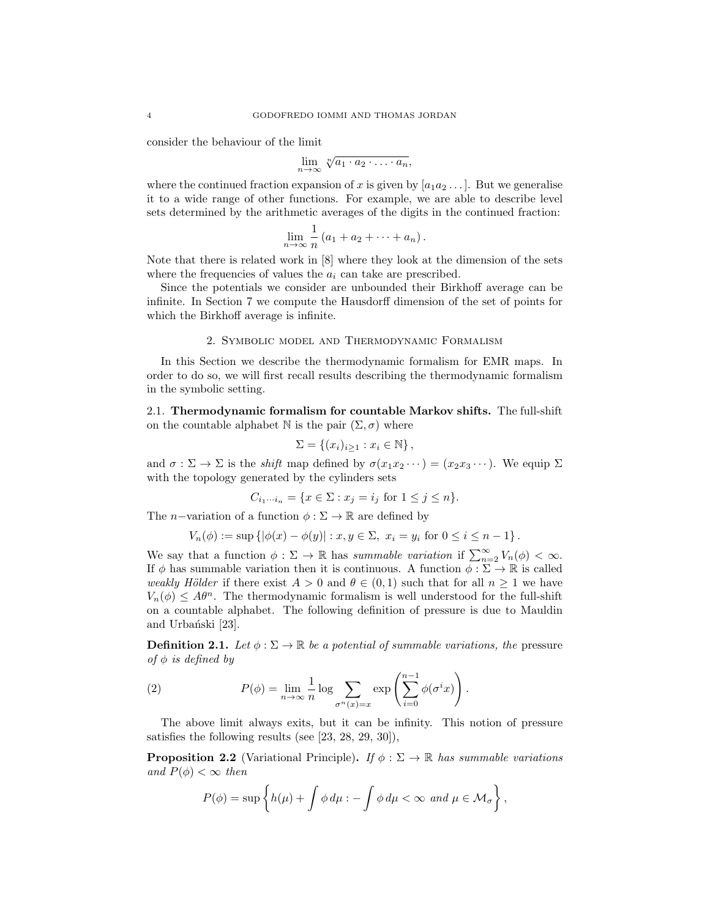consider the behaviour of the limit

$$
\lim_{n\to\infty}\sqrt[n]{a_1\cdot a_2\cdot\ldots\cdot a_n},
$$

where the continued fraction expansion of x is given by  $[a_1a_2 \ldots]$ . But we generalise it to a wide range of other functions. For example, we are able to describe level sets determined by the arithmetic averages of the digits in the continued fraction:

$$
\lim_{n\to\infty}\frac{1}{n}(a_1+a_2+\cdots+a_n).
$$

Note that there is related work in [8] where they look at the dimension of the sets where the frequencies of values the  $a_i$  can take are prescribed.

Since the potentials we consider are unbounded their Birkhoff average can be infinite. In Section 7 we compute the Hausdorff dimension of the set of points for which the Birkhoff average is infinite.

#### 2. Symbolic model and Thermodynamic Formalism

In this Section we describe the thermodynamic formalism for EMR maps. In order to do so, we will first recall results describing the thermodynamic formalism in the symbolic setting.

2.1. Thermodynamic formalism for countable Markov shifts. The full-shift on the countable alphabet N is the pair  $(\Sigma, \sigma)$  where

$$
\Sigma = \{(x_i)_{i \geq 1} : x_i \in \mathbb{N}\},\
$$

and  $\sigma : \Sigma \to \Sigma$  is the *shift* map defined by  $\sigma(x_1x_2 \cdots) = (x_2x_3 \cdots)$ . We equip  $\Sigma$ with the topology generated by the cylinders sets

$$
C_{i_1\cdots i_n} = \{x \in \Sigma : x_j = i_j \text{ for } 1 \le j \le n\}.
$$

The *n*−variation of a function  $\phi : \Sigma \to \mathbb{R}$  are defined by

$$
V_n(\phi) := \sup \left\{ |\phi(x) - \phi(y)| : x, y \in \Sigma, \ x_i = y_i \text{ for } 0 \le i \le n - 1 \right\}.
$$

We say that a function  $\phi : \Sigma \to \mathbb{R}$  has summable variation if  $\sum_{n=2}^{\infty} V_n(\phi) < \infty$ . If  $\phi$  has summable variation then it is continuous. A function  $\phi : \Sigma \to \mathbb{R}$  is called weakly Hölder if there exist  $A > 0$  and  $\theta \in (0,1)$  such that for all  $n \ge 1$  we have  $V_n(\phi) \leq A\theta^n$ . The thermodynamic formalism is well understood for the full-shift on a countable alphabet. The following definition of pressure is due to Mauldin and Urbański [23].

**Definition 2.1.** Let  $\phi : \Sigma \to \mathbb{R}$  be a potential of summable variations, the pressure of  $\phi$  is defined by

(2) 
$$
P(\phi) = \lim_{n \to \infty} \frac{1}{n} \log \sum_{\sigma^n(x) = x} \exp \left( \sum_{i=0}^{n-1} \phi(\sigma^i x) \right).
$$

The above limit always exits, but it can be infinity. This notion of pressure satisfies the following results (see [23, 28, 29, 30]),

**Proposition 2.2** (Variational Principle). If  $\phi : \Sigma \to \mathbb{R}$  has summable variations and  $P(\phi) < \infty$  then

$$
P(\phi) = \sup \left\{ h(\mu) + \int \phi \, d\mu : - \int \phi \, d\mu < \infty \, \text{ and } \mu \in \mathcal{M}_\sigma \right\},\,
$$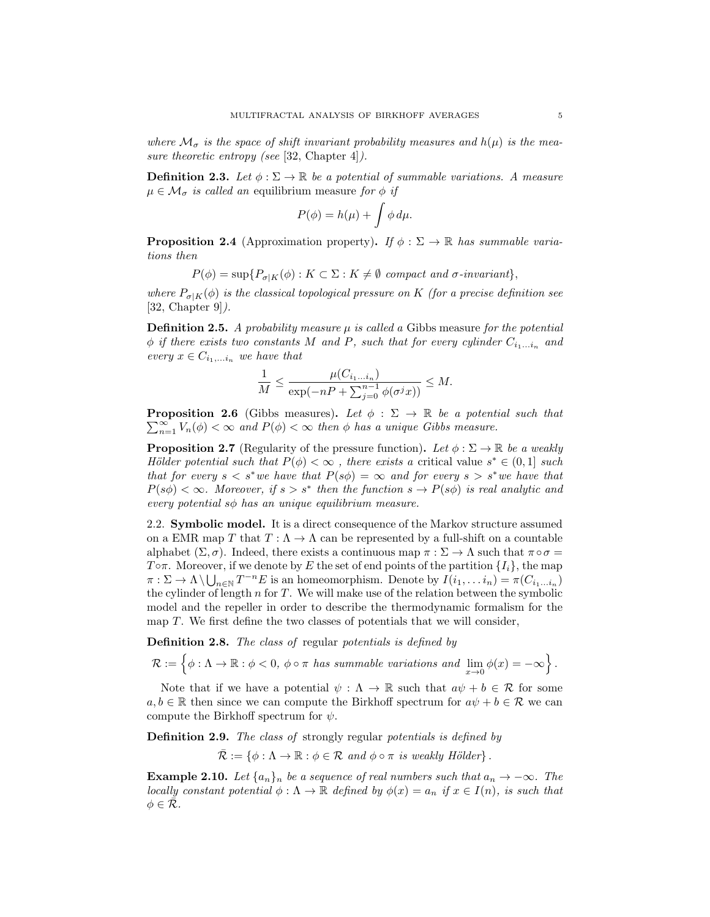where  $\mathcal{M}_{\sigma}$  is the space of shift invariant probability measures and  $h(\mu)$  is the measure theoretic entropy (see [32, Chapter 4]).

**Definition 2.3.** Let  $\phi : \Sigma \to \mathbb{R}$  be a potential of summable variations. A measure  $\mu \in \mathcal{M}_{\sigma}$  is called an equilibrium measure for  $\phi$  if

$$
P(\phi) = h(\mu) + \int \phi \, d\mu.
$$

**Proposition 2.4** (Approximation property). If  $\phi : \Sigma \to \mathbb{R}$  has summable variations then

$$
P(\phi) = \sup \{ P_{\sigma|K}(\phi) : K \subset \Sigma : K \neq \emptyset \text{ compact and } \sigma\text{-invariant} \},\
$$

where  $P_{\sigma|K}(\phi)$  is the classical topological pressure on K (for a precise definition see  $[32, Chapter 9]$ .

**Definition 2.5.** A probability measure  $\mu$  is called a Gibbs measure for the potential  $\phi$  if there exists two constants M and P, such that for every cylinder  $C_{i_1...i_n}$  and every  $x \in C_{i_1,...i_n}$  we have that

$$
\frac{1}{M} \le \frac{\mu(C_{i_1...i_n})}{\exp(-nP + \sum_{j=0}^{n-1} \phi(\sigma^j x))} \le M.
$$

**Proposition 2.6** (Gibbs measures). Let  $\phi : \Sigma \to \mathbb{R}$  be a potential such that  $\nabla^{\infty}$ ,  $V_{\alpha}(\phi) < \infty$  and  $P(\phi) < \infty$  then  $\phi$  has a unique Gibbs measure  $\sum_{n=1}^{\infty} V_n(\phi) < \infty$  and  $P(\phi) < \infty$  then  $\phi$  has a unique Gibbs measure.

**Proposition 2.7** (Regularity of the pressure function). Let  $\phi : \Sigma \to \mathbb{R}$  be a weakly Hölder potential such that  $P(\phi) < \infty$ , there exists a critical value  $s^* \in (0,1]$  such that for every  $s < s^*$  we have that  $P(s\phi) = \infty$  and for every  $s > s^*$  we have that  $P(s\phi) < \infty$ . Moreover, if  $s > s^*$  then the function  $s \to P(s\phi)$  is real analytic and every potential  $s\phi$  has an unique equilibrium measure.

2.2. Symbolic model. It is a direct consequence of the Markov structure assumed on a EMR map  $T$  that  $T : \Lambda \to \Lambda$  can be represented by a full-shift on a countable alphabet  $(\Sigma, \sigma)$ . Indeed, there exists a continuous map  $\pi : \Sigma \to \Lambda$  such that  $\pi \circ \sigma =$ To  $\pi$ . Moreover, if we denote by E the set of end points of the partition  $\{I_i\}$ , the map  $\pi : \Sigma \to \Lambda \setminus \bigcup_{n \in \mathbb{N}} T^{-n}E$  is an homeomorphism. Denote by  $I(i_1, \ldots i_n) = \pi(C_{i_1 \ldots i_n})$ the cylinder of length  $n$  for  $T$ . We will make use of the relation between the symbolic model and the repeller in order to describe the thermodynamic formalism for the map  $T$ . We first define the two classes of potentials that we will consider,

Definition 2.8. The class of regular potentials is defined by

$$
\mathcal{R}:=\left\{\phi:\Lambda\rightarrow\mathbb{R}:\phi<0,\ \phi\circ\pi\ has\ summable\ variations\ and\ \lim_{x\rightarrow 0}\phi(x)=-\infty\right\}.
$$

Note that if we have a potential  $\psi : \Lambda \to \mathbb{R}$  such that  $a\psi + b \in \mathcal{R}$  for some  $a, b \in \mathbb{R}$  then since we can compute the Birkhoff spectrum for  $a\psi + b \in \mathcal{R}$  we can compute the Birkhoff spectrum for  $\psi.$ 

Definition 2.9. The class of strongly regular potentials is defined by

 $\overline{\mathcal{R}} := \{ \phi : \Lambda \to \mathbb{R} : \phi \in \mathcal{R} \text{ and } \phi \circ \pi \text{ is weakly Hölder} \}.$ 

**Example 2.10.** Let  $\{a_n\}_n$  be a sequence of real numbers such that  $a_n \to -\infty$ . The locally constant potential  $\phi : \Lambda \to \mathbb{R}$  defined by  $\phi(x) = a_n$  if  $x \in I(n)$ , is such that  $\phi \in \mathcal{R}$ .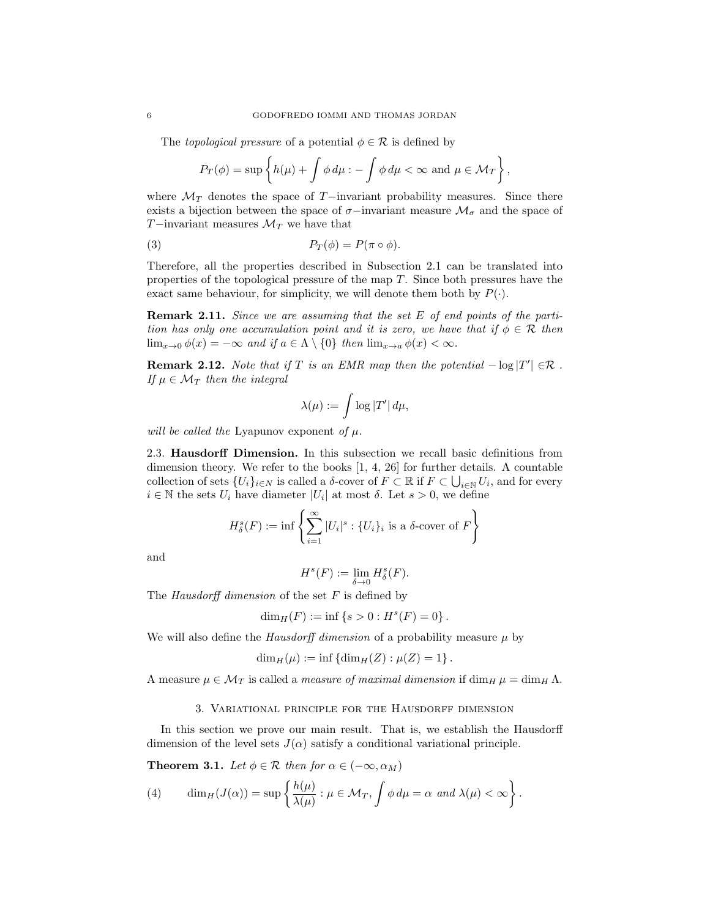The topological pressure of a potential  $\phi \in \mathcal{R}$  is defined by

$$
P_T(\phi) = \sup \left\{ h(\mu) + \int \phi \, d\mu : - \int \phi \, d\mu < \infty \text{ and } \mu \in \mathcal{M}_T \right\},\
$$

where  $\mathcal{M}_T$  denotes the space of T−invariant probability measures. Since there exists a bijection between the space of  $\sigma$ −invariant measure  $\mathcal{M}_{\sigma}$  and the space of T−invariant measures  $\mathcal{M}_T$  we have that

(3) 
$$
P_T(\phi) = P(\pi \circ \phi).
$$

Therefore, all the properties described in Subsection 2.1 can be translated into properties of the topological pressure of the map  $T$ . Since both pressures have the exact same behaviour, for simplicity, we will denote them both by  $P(\cdot)$ .

**Remark 2.11.** Since we are assuming that the set E of end points of the partition has only one accumulation point and it is zero, we have that if  $\phi \in \mathcal{R}$  then  $\lim_{x\to 0} \phi(x) = -\infty$  and if  $a \in \Lambda \setminus \{0\}$  then  $\lim_{x\to a} \phi(x) < \infty$ .

**Remark 2.12.** Note that if T is an EMR map then the potential  $-\log|T'| \in \mathcal{R}$ . If  $\mu \in \mathcal{M}_T$  then the integral

$$
\lambda(\mu):=\int \log |T'|\,d\mu,
$$

will be called the Lyapunov exponent of  $\mu$ .

2.3. Hausdorff Dimension. In this subsection we recall basic definitions from dimension theory. We refer to the books [1, 4, 26] for further details. A countable collection of sets  $\{U_i\}_{i\in N}$  is called a  $\delta$ -cover of  $F \subset \mathbb{R}$  if  $F \subset \bigcup_{i\in \mathbb{N}} U_i$ , and for every  $i \in \mathbb{N}$  the sets  $U_i$  have diameter  $|U_i|$  at most  $\delta$ . Let  $s > 0$ , we define

$$
H^s_{\delta}(F) := \inf \left\{ \sum_{i=1}^{\infty} |U_i|^s : \{U_i\}_i \text{ is a } \delta\text{-cover of } F \right\}
$$

and

$$
H^s(F):=\lim_{\delta\to 0}H^s_\delta(F).
$$

The Hausdorff dimension of the set  $F$  is defined by

$$
\dim_H(F) := \inf \{ s > 0 : H^s(F) = 0 \} .
$$

We will also define the *Hausdorff dimension* of a probability measure  $\mu$  by

$$
\dim_H(\mu) := \inf \left\{ \dim_H(Z) : \mu(Z) = 1 \right\}.
$$

A measure  $\mu \in \mathcal{M}_T$  is called a *measure of maximal dimension* if dim<sub>H</sub>  $\mu = \dim_H \Lambda$ .

#### 3. Variational principle for the Hausdorff dimension

In this section we prove our main result. That is, we establish the Hausdorff dimension of the level sets  $J(\alpha)$  satisfy a conditional variational principle.

**Theorem 3.1.** Let  $\phi \in \mathcal{R}$  then for  $\alpha \in (-\infty, \alpha_M)$ 

(4) 
$$
\dim_H(J(\alpha)) = \sup \left\{ \frac{h(\mu)}{\lambda(\mu)} : \mu \in \mathcal{M}_T, \int \phi \, d\mu = \alpha \text{ and } \lambda(\mu) < \infty \right\}.
$$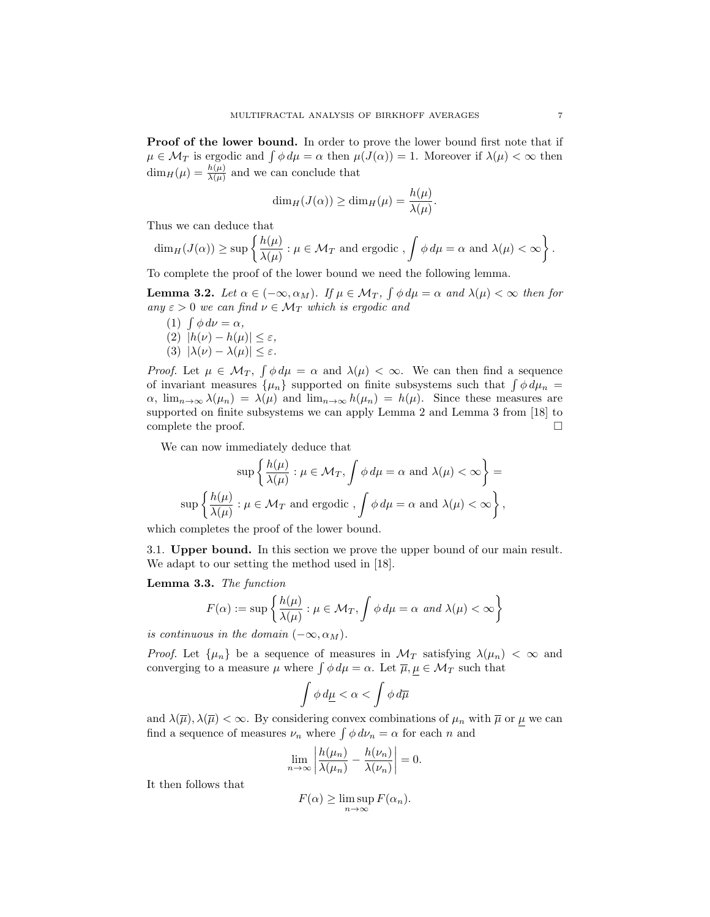Proof of the lower bound. In order to prove the lower bound first note that if  $\mu \in \mathcal{M}_T$  is ergodic and  $\int \phi \, d\mu = \alpha$  then  $\mu(J(\alpha)) = 1$ . Moreover if  $\lambda(\mu) < \infty$  then  $\dim_H(\mu) = \frac{h(\mu)}{\lambda(\mu)}$  and we can conclude that

$$
\dim_H(J(\alpha)) \ge \dim_H(\mu) = \frac{h(\mu)}{\lambda(\mu)}.
$$

Thus we can deduce that

$$
\dim_H(J(\alpha)) \geq \sup \left\{ \frac{h(\mu)}{\lambda(\mu)} : \mu \in \mathcal{M}_T \text{ and ergodic }, \int \phi \, d\mu = \alpha \text{ and } \lambda(\mu) < \infty \right\}.
$$

To complete the proof of the lower bound we need the following lemma.

**Lemma 3.2.** Let  $\alpha \in (-\infty, \alpha_M)$ . If  $\mu \in \mathcal{M}_T$ ,  $\int \phi \, d\mu = \alpha$  and  $\lambda(\mu) < \infty$  then for any  $\varepsilon > 0$  we can find  $\nu \in \mathcal{M}_T$  which is ergodic and

- (1)  $\int \phi \, d\nu = \alpha$ ,
- (2)  $|h(\nu) h(\mu)| \leq \varepsilon$ , (3)  $|\lambda(\nu) - \lambda(\mu)| \leq \varepsilon$ .
- 

Proof. Let  $\mu \in \mathcal{M}_T$ ,  $\int \phi \, d\mu = \alpha$  and  $\lambda(\mu) < \infty$ . We can then find a sequence of invariant measures  $\{\mu_n\}$  supported on finite subsystems such that  $\int \phi \, d\mu_n =$  $\alpha$ ,  $\lim_{n\to\infty}\lambda(\mu_n) = \lambda(\mu)$  and  $\lim_{n\to\infty}h(\mu_n) = h(\mu)$ . Since these measures are supported on finite subsystems we can apply Lemma 2 and Lemma 3 from [18] to complete the proof.  $\Box$ 

We can now immediately deduce that

$$
\sup \left\{ \frac{h(\mu)}{\lambda(\mu)} : \mu \in \mathcal{M}_T, \int \phi \, d\mu = \alpha \text{ and } \lambda(\mu) < \infty \right\} =
$$
\n
$$
\sup \left\{ \frac{h(\mu)}{\lambda(\mu)} : \mu \in \mathcal{M}_T \text{ and ergodic }, \int \phi \, d\mu = \alpha \text{ and } \lambda(\mu) < \infty \right\},
$$

which completes the proof of the lower bound.

3.1. Upper bound. In this section we prove the upper bound of our main result. We adapt to our setting the method used in [18].

Lemma 3.3. The function

$$
F(\alpha) := \sup \left\{ \frac{h(\mu)}{\lambda(\mu)} : \mu \in \mathcal{M}_T, \int \phi \, d\mu = \alpha \text{ and } \lambda(\mu) < \infty \right\}
$$

is continuous in the domain  $(-\infty, \alpha_M)$ .

*Proof.* Let  $\{\mu_n\}$  be a sequence of measures in  $\mathcal{M}_T$  satisfying  $\lambda(\mu_n) < \infty$  and converging to a measure  $\mu$  where  $\int \phi \, d\mu = \alpha$ . Let  $\overline{\mu}, \mu \in \mathcal{M}_T$  such that

$$
\int \phi\, d\underline{\mu} < \alpha < \int \phi\, d\overline{\mu}
$$

and  $\lambda(\overline{\mu}), \lambda(\overline{\mu}) < \infty$ . By considering convex combinations of  $\mu_n$  with  $\overline{\mu}$  or  $\mu$  we can find a sequence of measures  $\nu_n$  where  $\int \phi \, d\nu_n = \alpha$  for each n and

$$
\lim_{n \to \infty} \left| \frac{h(\mu_n)}{\lambda(\mu_n)} - \frac{h(\nu_n)}{\lambda(\nu_n)} \right| = 0.
$$

It then follows that

$$
F(\alpha) \ge \limsup_{n \to \infty} F(\alpha_n).
$$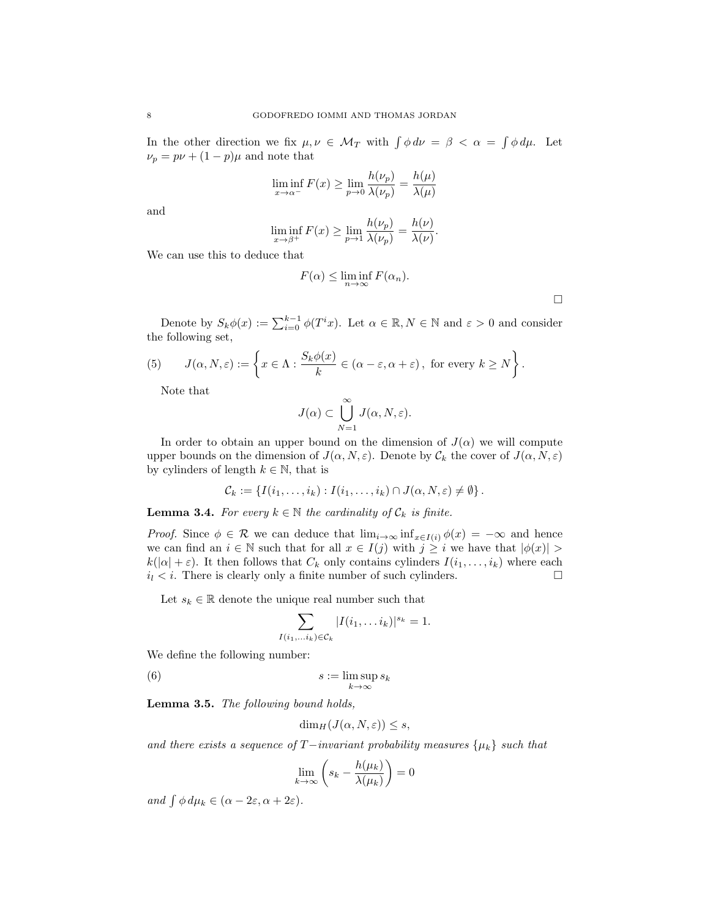In the other direction we fix  $\mu, \nu \in \mathcal{M}_T$  with  $\int \phi \, d\nu = \beta \langle \alpha \rangle = \int \phi \, d\mu$ . Let  $\nu_p = p\nu + (1-p)\mu$  and note that

$$
\liminf_{x \to \alpha^{-}} F(x) \ge \lim_{p \to 0} \frac{h(\nu_p)}{\lambda(\nu_p)} = \frac{h(\mu)}{\lambda(\mu)}
$$

and

$$
\liminf_{x \to \beta^+} F(x) \ge \lim_{p \to 1} \frac{h(\nu_p)}{\lambda(\nu_p)} = \frac{h(\nu)}{\lambda(\nu)}.
$$

We can use this to deduce that

$$
F(\alpha) \le \liminf_{n \to \infty} F(\alpha_n).
$$

 $\Box$ 

Denote by  $S_k \phi(x) := \sum_{i=0}^{k-1} \phi(T^i x)$ . Let  $\alpha \in \mathbb{R}, N \in \mathbb{N}$  and  $\varepsilon > 0$  and consider the following set,

(5) 
$$
J(\alpha, N, \varepsilon) := \left\{ x \in \Lambda : \frac{S_k \phi(x)}{k} \in (\alpha - \varepsilon, \alpha + \varepsilon), \text{ for every } k \ge N \right\}.
$$

Note that

$$
J(\alpha) \subset \bigcup_{N=1}^{\infty} J(\alpha, N, \varepsilon).
$$

In order to obtain an upper bound on the dimension of  $J(\alpha)$  we will compute upper bounds on the dimension of  $J(\alpha, N, \varepsilon)$ . Denote by  $\mathcal{C}_k$  the cover of  $J(\alpha, N, \varepsilon)$ by cylinders of length  $k \in \mathbb{N}$ , that is

$$
\mathcal{C}_k := \{ I(i_1,\ldots,i_k) : I(i_1,\ldots,i_k) \cap J(\alpha,N,\varepsilon) \neq \emptyset \}.
$$

**Lemma 3.4.** For every  $k \in \mathbb{N}$  the cardinality of  $\mathcal{C}_k$  is finite.

*Proof.* Since  $\phi \in \mathcal{R}$  we can deduce that  $\lim_{i\to\infty} \inf_{x\in I(i)} \phi(x) = -\infty$  and hence we can find an  $i \in \mathbb{N}$  such that for all  $x \in I(j)$  with  $j \geq i$  we have that  $|\phi(x)| >$  $k(|\alpha| + \varepsilon)$ . It then follows that  $C_k$  only contains cylinders  $I(i_1, \ldots, i_k)$  where each  $i_l < i$ . There is clearly only a finite number of such cylinders.  $i_l < i$ . There is clearly only a finite number of such cylinders.

Let  $s_k \in \mathbb{R}$  denote the unique real number such that

 $I(i)$ 

$$
\sum_{i_1,\ldots,i_k\in\mathcal{C}_k}|I(i_1,\ldots i_k)|^{s_k}=1.
$$

We define the following number:

(6) 
$$
s := \limsup_{k \to \infty} s_k
$$

Lemma 3.5. The following bound holds,

$$
\dim_H(J(\alpha,N,\varepsilon))\leq s,
$$

and there exists a sequence of  $T$ −invariant probability measures  $\{\mu_k\}$  such that

$$
\lim_{k \to \infty} \left( s_k - \frac{h(\mu_k)}{\lambda(\mu_k)} \right) = 0
$$

and  $\int \phi \, d\mu_k \in (\alpha - 2\varepsilon, \alpha + 2\varepsilon).$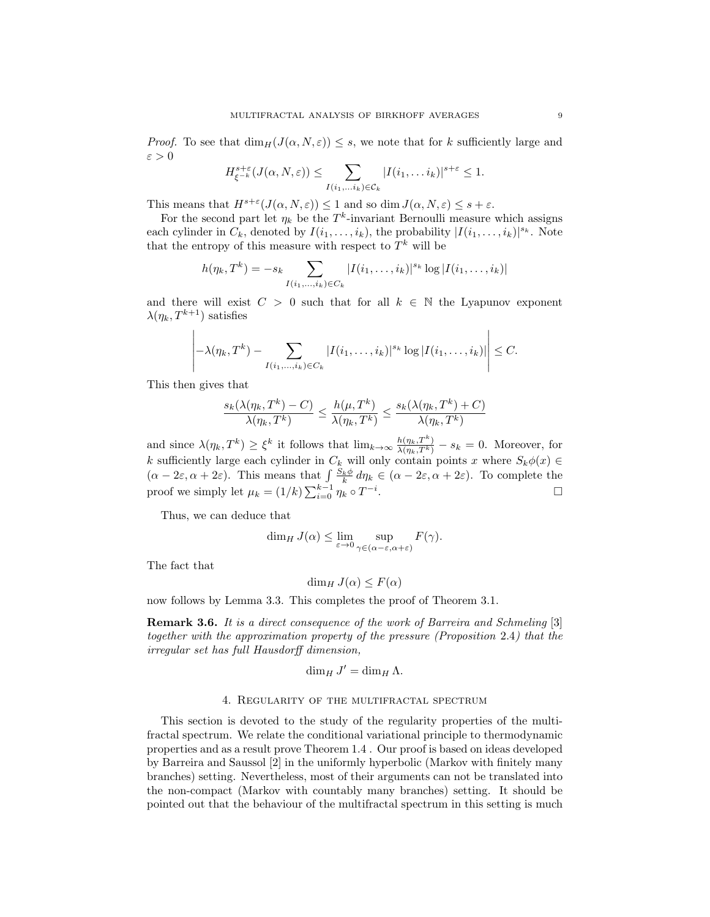*Proof.* To see that  $\dim_H(J(\alpha, N, \varepsilon)) \leq s$ , we note that for k sufficiently large and  $\varepsilon > 0$ 

$$
H_{\xi^{-k}}^{s+\varepsilon}(J(\alpha, N, \varepsilon)) \leq \sum_{I(i_1, \ldots i_k) \in \mathcal{C}_k} |I(i_1, \ldots i_k)|^{s+\varepsilon} \leq 1.
$$

This means that  $H^{s+\varepsilon}(J(\alpha, N, \varepsilon)) \leq 1$  and so dim  $J(\alpha, N, \varepsilon) \leq s + \varepsilon$ .

For the second part let  $\eta_k$  be the T<sup>k</sup>-invariant Bernoulli measure which assigns each cylinder in  $C_k$ , denoted by  $I(i_1, \ldots, i_k)$ , the probability  $|I(i_1, \ldots, i_k)|^{s_k}$ . Note that the entropy of this measure with respect to  $T^k$  will be

$$
h(\eta_k, T^k) = -s_k \sum_{I(i_1,\ldots,i_k)\in C_k} |I(i_1,\ldots,i_k)|^{s_k} \log |I(i_1,\ldots,i_k)|
$$

and there will exist  $C > 0$  such that for all  $k \in \mathbb{N}$  the Lyapunov exponent  $\lambda(\eta_k, T^{k+1})$  satisfies

$$
\left| -\lambda(\eta_k, T^k) - \sum_{I(i_1,\ldots,i_k)\in C_k} |I(i_1,\ldots,i_k)|^{s_k} \log |I(i_1,\ldots,i_k)| \right| \leq C.
$$

This then gives that

$$
\frac{s_k(\lambda(\eta_k, T^k) - C)}{\lambda(\eta_k, T^k)} \le \frac{h(\mu, T^k)}{\lambda(\eta_k, T^k)} \le \frac{s_k(\lambda(\eta_k, T^k) + C)}{\lambda(\eta_k, T^k)}
$$

and since  $\lambda(\eta_k, T^k) \geq \xi^k$  it follows that  $\lim_{k \to \infty} \frac{h(\eta_k, T^k)}{\lambda(\eta_k, T^k)} - s_k = 0$ . Moreover, for k sufficiently large each cylinder in  $C_k$  will only contain points x where  $S_k\phi(x) \in$  $(\alpha - 2\varepsilon, \alpha + 2\varepsilon)$ . This means that  $\int \frac{S_k \phi}{k} d\eta_k \in (\alpha - 2\varepsilon, \alpha + 2\varepsilon)$ . To complete the proof we simply let  $\mu_k = (1/k) \sum_{i=0}^{k-1} \eta_k \circ T^{-i}$ .

Thus, we can deduce that

$$
\dim_H J(\alpha) \le \lim_{\varepsilon \to 0} \sup_{\gamma \in (\alpha - \varepsilon, \alpha + \varepsilon)} F(\gamma).
$$

The fact that

$$
\dim_H J(\alpha) \le F(\alpha)
$$

now follows by Lemma 3.3. This completes the proof of Theorem 3.1.

Remark 3.6. It is a direct consequence of the work of Barreira and Schmeling [3] together with the approximation property of the pressure (Proposition 2.4) that the irregular set has full Hausdorff dimension,

$$
\dim_H J' = \dim_H \Lambda.
$$

#### 4. Regularity of the multifractal spectrum

This section is devoted to the study of the regularity properties of the multifractal spectrum. We relate the conditional variational principle to thermodynamic properties and as a result prove Theorem 1.4 . Our proof is based on ideas developed by Barreira and Saussol [2] in the uniformly hyperbolic (Markov with finitely many branches) setting. Nevertheless, most of their arguments can not be translated into the non-compact (Markov with countably many branches) setting. It should be pointed out that the behaviour of the multifractal spectrum in this setting is much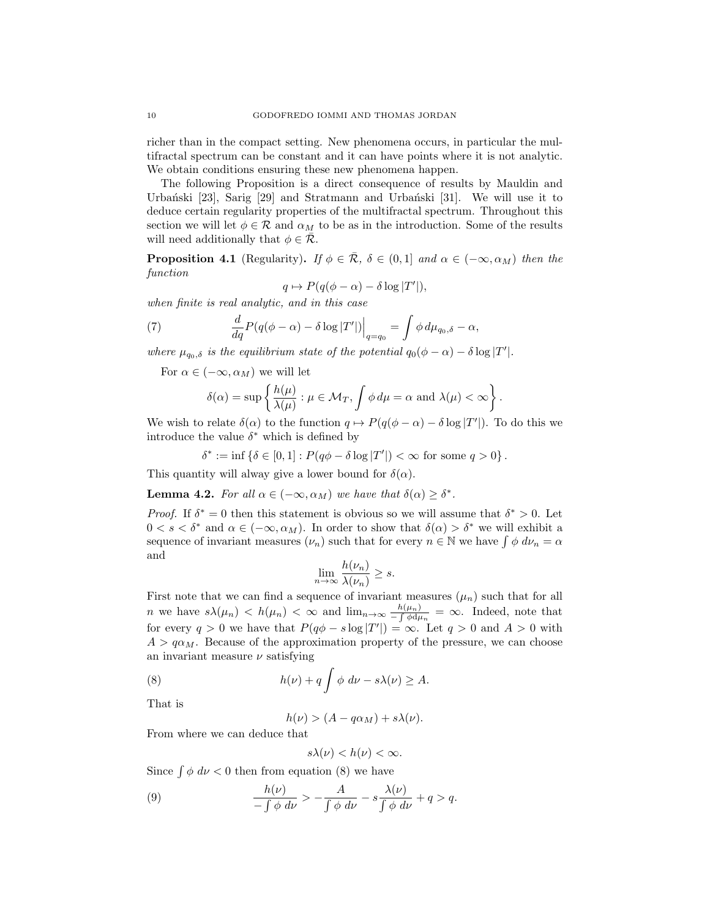richer than in the compact setting. New phenomena occurs, in particular the multifractal spectrum can be constant and it can have points where it is not analytic. We obtain conditions ensuring these new phenomena happen.

The following Proposition is a direct consequence of results by Mauldin and Urbański  $[23]$ , Sarig  $[29]$  and Stratmann and Urbański  $[31]$ . We will use it to deduce certain regularity properties of the multifractal spectrum. Throughout this section we will let  $\phi \in \mathcal{R}$  and  $\alpha_M$  to be as in the introduction. Some of the results will need additionally that  $\phi \in \mathcal{R}$ .

**Proposition 4.1** (Regularity). If  $\phi \in \overline{\mathcal{R}}$ ,  $\delta \in (0,1]$  and  $\alpha \in (-\infty, \alpha_M)$  then the function

$$
q \mapsto P(q(\phi - \alpha) - \delta \log |T'|),
$$

when finite is real analytic, and in this case

(7) 
$$
\frac{d}{dq}P(q(\phi-\alpha)-\delta\log|T'|)\Big|_{q=q_0} = \int \phi \, d\mu_{q_0,\delta}-\alpha,
$$

where  $\mu_{q_0,\delta}$  is the equilibrium state of the potential  $q_0(\phi - \alpha) - \delta \log |T'|$ .

For  $\alpha \in (-\infty, \alpha_M)$  we will let

$$
\delta(\alpha) = \sup \left\{ \frac{h(\mu)}{\lambda(\mu)} : \mu \in \mathcal{M}_T, \int \phi \, d\mu = \alpha \text{ and } \lambda(\mu) < \infty \right\}.
$$

We wish to relate  $\delta(\alpha)$  to the function  $q \mapsto P(q(\phi - \alpha) - \delta \log |T'|)$ . To do this we introduce the value  $\delta^*$  which is defined by

 $\delta^* := \inf \{ \delta \in [0,1] : P(q\phi - \delta \log |T'|) < \infty \text{ for some } q > 0 \}.$ 

This quantity will alway give a lower bound for  $\delta(\alpha)$ .

**Lemma 4.2.** For all  $\alpha \in (-\infty, \alpha_M)$  we have that  $\delta(\alpha) \geq \delta^*$ .

*Proof.* If  $\delta^* = 0$  then this statement is obvious so we will assume that  $\delta^* > 0$ . Let  $0 < s < \delta^*$  and  $\alpha \in (-\infty, \alpha_M)$ . In order to show that  $\delta(\alpha) > \delta^*$  we will exhibit a sequence of invariant measures  $(\nu_n)$  such that for every  $n \in \mathbb{N}$  we have  $\int \phi \, d\nu_n = \alpha$ and

$$
\lim_{n \to \infty} \frac{h(\nu_n)}{\lambda(\nu_n)} \ge s.
$$

First note that we can find a sequence of invariant measures  $(\mu_n)$  such that for all *n* we have  $s\lambda(\mu_n) < h(\mu_n) < \infty$  and  $\lim_{n\to\infty} \frac{h(\mu_n)}{-\int \phi d\mu_n} = \infty$ . Indeed, note that for every  $q > 0$  we have that  $P(q\phi - s \log |T'|) = \infty$ . Let  $q > 0$  and  $A > 0$  with  $A > q\alpha_M$ . Because of the approximation property of the pressure, we can choose an invariant measure  $\nu$  satisfying

(8) 
$$
h(\nu) + q \int \phi \ d\nu - s\lambda(\nu) \geq A.
$$

That is

$$
h(\nu) > (A - q\alpha_M) + s\lambda(\nu).
$$

From where we can deduce that

$$
s\lambda(\nu)
$$

Since  $\int \phi \, d\nu < 0$  then from equation (8) we have

(9) 
$$
\frac{h(\nu)}{-\int \phi \, d\nu} > -\frac{A}{\int \phi \, d\nu} - s \frac{\lambda(\nu)}{\int \phi \, d\nu} + q > q.
$$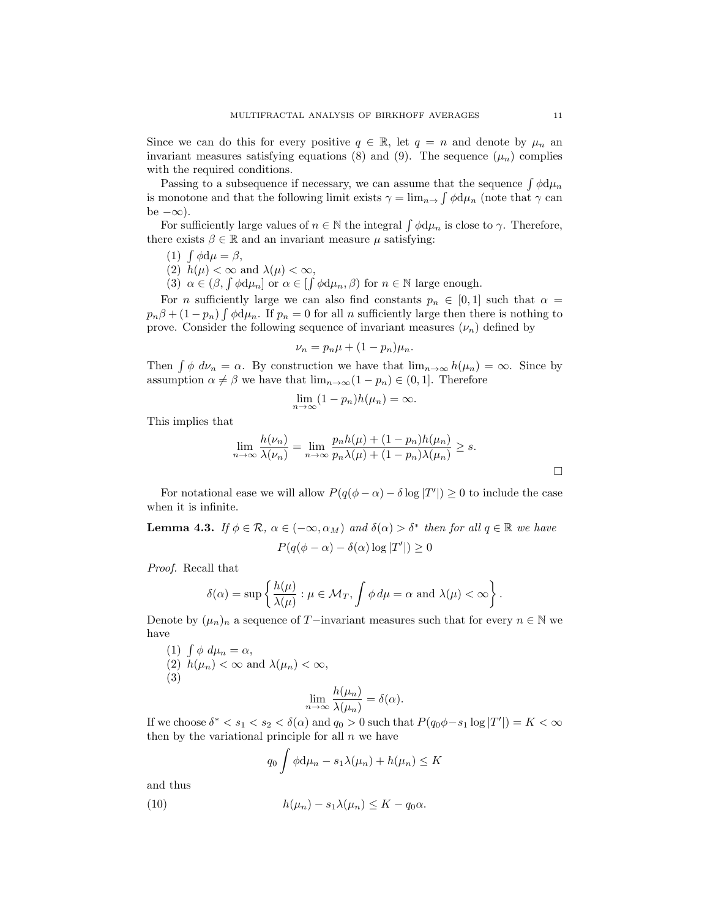Since we can do this for every positive  $q \in \mathbb{R}$ , let  $q = n$  and denote by  $\mu_n$  and invariant measures satisfying equations (8) and (9). The sequence  $(\mu_n)$  complies with the required conditions.

Passing to a subsequence if necessary, we can assume that the sequence  $\int \phi \, d\mu_n$ is monotone and that the following limit exists  $\gamma = \lim_{n \to \infty} \int \phi \, d\mu_n$  (note that  $\gamma$  can be  $-\infty$ ).

For sufficiently large values of  $n \in \mathbb{N}$  the integral  $\int \phi \, d\mu_n$  is close to  $\gamma$ . Therefore, there exists  $\beta \in \mathbb{R}$  and an invariant measure  $\mu$  satisfying:

- (1)  $\int \phi \, d\mu = \beta$ ,
- (2)  $h(\mu) < \infty$  and  $\lambda(\mu) < \infty$ ,
- (3)  $\alpha \in (\beta, \int \phi \, d\mu_n]$  or  $\alpha \in [\int \phi \, d\mu_n, \beta)$  for  $n \in \mathbb{N}$  large enough.

For *n* sufficiently large we can also find constants  $p_n \in [0,1]$  such that  $\alpha =$  $p_n\beta + (1 - p_n) \int \phi \, d\mu_n$ . If  $p_n = 0$  for all n sufficiently large then there is nothing to prove. Consider the following sequence of invariant measures  $(\nu_n)$  defined by

$$
\nu_n = p_n \mu + (1 - p_n) \mu_n.
$$

Then  $\int \phi \ d\nu_n = \alpha$ . By construction we have that  $\lim_{n \to \infty} h(\mu_n) = \infty$ . Since by assumption  $\alpha \neq \beta$  we have that  $\lim_{n \to \infty} (1 - p_n) \in (0, 1]$ . Therefore

$$
\lim_{n \to \infty} (1 - p_n) h(\mu_n) = \infty.
$$

This implies that

$$
\lim_{n \to \infty} \frac{h(\nu_n)}{\lambda(\nu_n)} = \lim_{n \to \infty} \frac{p_n h(\mu) + (1 - p_n) h(\mu_n)}{p_n \lambda(\mu) + (1 - p_n) \lambda(\mu_n)} \ge s.
$$

For notational ease we will allow  $P(q(\phi - \alpha) - \delta \log |T'|) \geq 0$  to include the case when it is infinite.

**Lemma 4.3.** If  $\phi \in \mathcal{R}$ ,  $\alpha \in (-\infty, \alpha_M)$  and  $\delta(\alpha) > \delta^*$  then for all  $q \in \mathbb{R}$  we have  $P(q(\phi - \alpha) - \delta(\alpha) \log |T'|) \geq 0$ 

Proof. Recall that

$$
\delta(\alpha) = \sup \left\{ \frac{h(\mu)}{\lambda(\mu)} : \mu \in \mathcal{M}_T, \int \phi \, d\mu = \alpha \text{ and } \lambda(\mu) < \infty \right\}.
$$

Denote by  $(\mu_n)_n$  a sequence of T−invariant measures such that for every  $n \in \mathbb{N}$  we have

(1) 
$$
\int \phi \ d\mu_n = \alpha
$$
,  
\n(2)  $h(\mu_n) < \infty$  and  $\lambda(\mu_n) < \infty$ ,  
\n(3) 
$$
\lim_{n \to \infty} \frac{h(\mu_n)}{\lambda(\mu_n)} = \delta(\alpha).
$$

If we choose  $\delta^* < s_1 < s_2 < \delta(\alpha)$  and  $q_0 > 0$  such that  $P(q_0\phi - s_1 \log |T'|) = K < \infty$ then by the variational principle for all  $n$  we have

$$
q_0 \int \phi \mathrm{d}\mu_n - s_1 \lambda(\mu_n) + h(\mu_n) \le K
$$

and thus

(10) 
$$
h(\mu_n) - s_1 \lambda(\mu_n) \leq K - q_0 \alpha.
$$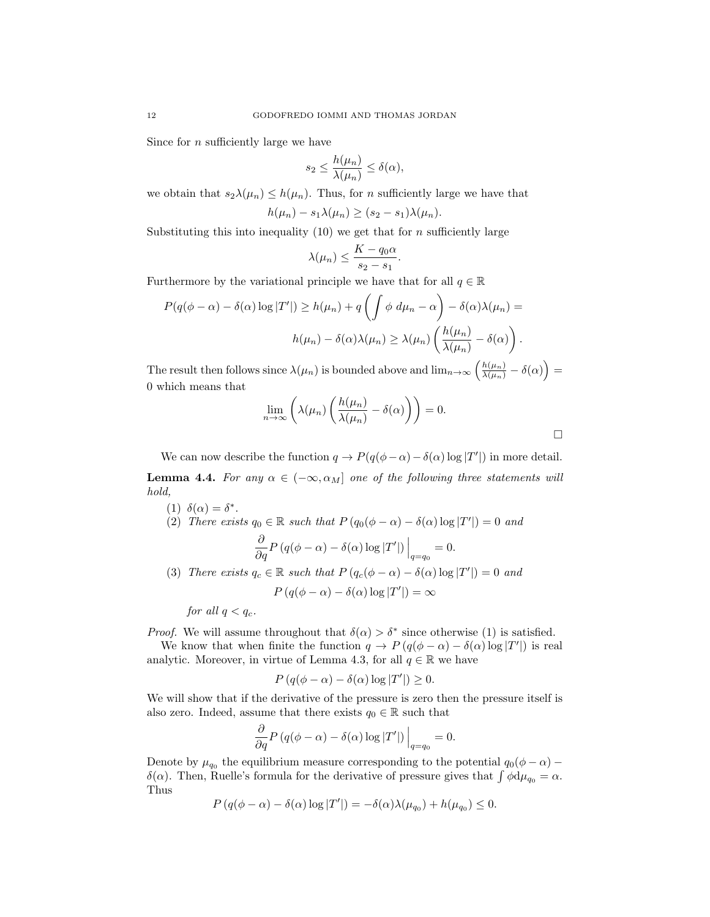Since for  $n$  sufficiently large we have

$$
s_2 \leq \frac{h(\mu_n)}{\lambda(\mu_n)} \leq \delta(\alpha),
$$

we obtain that  $s_2\lambda(\mu_n) \leq h(\mu_n)$ . Thus, for *n* sufficiently large we have that

$$
h(\mu_n)-s_1\lambda(\mu_n)\geq (s_2-s_1)\lambda(\mu_n).
$$

Substituting this into inequality (10) we get that for n sufficiently large

$$
\lambda(\mu_n) \le \frac{K - q_0 \alpha}{s_2 - s_1}.
$$

Furthermore by the variational principle we have that for all  $q \in \mathbb{R}$ 

$$
P(q(\phi - \alpha) - \delta(\alpha) \log |T'|) \ge h(\mu_n) + q \left( \int \phi \ d\mu_n - \alpha \right) - \delta(\alpha) \lambda(\mu_n) =
$$

$$
h(\mu_n) - \delta(\alpha) \lambda(\mu_n) \ge \lambda(\mu_n) \left( \frac{h(\mu_n)}{\lambda(\mu_n)} - \delta(\alpha) \right).
$$

The result then follows since  $\lambda(\mu_n)$  is bounded above and  $\lim_{n\to\infty}\left(\frac{h(\mu_n)}{\lambda(\mu_n)}-\delta(\alpha)\right)=$ 0 which means that

$$
\lim_{n \to \infty} \left( \lambda(\mu_n) \left( \frac{h(\mu_n)}{\lambda(\mu_n)} - \delta(\alpha) \right) \right) = 0.
$$

We can now describe the function  $q \to P(q(\phi - \alpha) - \delta(\alpha) \log |T'|)$  in more detail. **Lemma 4.4.** For any  $\alpha \in (-\infty, \alpha_M]$  one of the following three statements will hold,

\n- (1) 
$$
\delta(\alpha) = \delta^*
$$
.
\n- (2) There exists  $q_0 \in \mathbb{R}$  such that  $P(q_0(\phi - \alpha) - \delta(\alpha) \log |T'|) = 0$  and  $\frac{\partial}{\partial q} P(q(\phi - \alpha) - \delta(\alpha) \log |T'|) \Big|_{q = q_0} = 0.$
\n- (3) There exists  $q_c \in \mathbb{R}$  such that  $P(q_c(\phi - \alpha) - \delta(\alpha) \log |T'|) = 0$  and
\n

 $P(q(\phi - \alpha) - \delta(\alpha) \log |T'|) = \infty$ 

for all  $q < q_c$ .

*Proof.* We will assume throughout that  $\delta(\alpha) > \delta^*$  since otherwise (1) is satisfied.

We know that when finite the function  $q \to P(q(\phi - \alpha) - \delta(\alpha) \log |T'|)$  is real analytic. Moreover, in virtue of Lemma 4.3, for all  $q \in \mathbb{R}$  we have

$$
P(q(\phi - \alpha) - \delta(\alpha) \log |T'|) \ge 0.
$$

We will show that if the derivative of the pressure is zero then the pressure itself is also zero. Indeed, assume that there exists  $q_0 \in \mathbb{R}$  such that

$$
\frac{\partial}{\partial q} P(q(\phi - \alpha) - \delta(\alpha) \log |T'|) \Big|_{q=q_0} = 0.
$$

Denote by  $\mu_{q_0}$  the equilibrium measure corresponding to the potential  $q_0(\phi - \alpha)$  – δ(α). Then, Ruelle's formula for the derivative of pressure gives that  $\int \phi d\mu_{q_0} = \alpha$ . Thus

$$
P(q(\phi - \alpha) - \delta(\alpha) \log |T'|) = -\delta(\alpha)\lambda(\mu_{q_0}) + h(\mu_{q_0}) \leq 0.
$$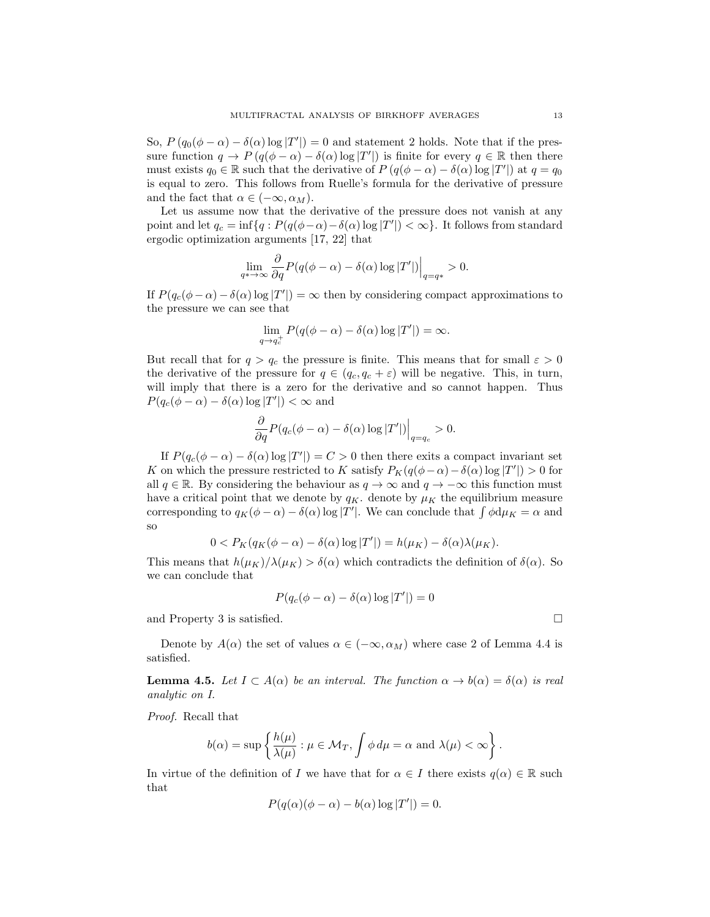So,  $P(q_0(\phi - \alpha) - \delta(\alpha) \log |T'|) = 0$  and statement 2 holds. Note that if the pressure function  $q \to P(q(\phi - \alpha) - \delta(\alpha) \log |T'|)$  is finite for every  $q \in \mathbb{R}$  then there must exists  $q_0 \in \mathbb{R}$  such that the derivative of  $P(q(\phi - \alpha) - \delta(\alpha) \log |T'|)$  at  $q = q_0$ is equal to zero. This follows from Ruelle's formula for the derivative of pressure and the fact that  $\alpha \in (-\infty, \alpha_M)$ .

Let us assume now that the derivative of the pressure does not vanish at any point and let  $q_c = \inf\{q : P(q(\phi - \alpha) - \delta(\alpha) \log |T'|) < \infty\}$ . It follows from standard ergodic optimization arguments [17, 22] that

$$
\lim_{q \to \infty} \frac{\partial}{\partial q} P(q(\phi - \alpha) - \delta(\alpha) \log |T'|) \Big|_{q = q^*} > 0.
$$

If  $P(q_c(\phi - \alpha) - \delta(\alpha) \log |T'|) = \infty$  then by considering compact approximations to the pressure we can see that

$$
\lim_{q \to q_c^+} P(q(\phi - \alpha) - \delta(\alpha) \log |T'|) = \infty.
$$

But recall that for  $q > q_c$  the pressure is finite. This means that for small  $\varepsilon > 0$ the derivative of the pressure for  $q \in (q_c, q_c + \varepsilon)$  will be negative. This, in turn, will imply that there is a zero for the derivative and so cannot happen. Thus  $P(q_c(\phi - \alpha) - \delta(\alpha) \log |T'|) < \infty$  and

$$
\frac{\partial}{\partial q}P(q_c(\phi-\alpha)-\delta(\alpha)\log|T'|)\Big|_{q=q_c}>0.
$$

If  $P(q_c(\phi - \alpha) - \delta(\alpha) \log |T'|) = C > 0$  then there exits a compact invariant set K on which the pressure restricted to K satisfy  $P_K(q(\phi - \alpha) - \delta(\alpha) \log |T'|) > 0$  for all  $q \in \mathbb{R}$ . By considering the behaviour as  $q \to \infty$  and  $q \to -\infty$  this function must have a critical point that we denote by  $q_K$ . denote by  $\mu_K$  the equilibrium measure corresponding to  $q_K(\phi - \alpha) - \delta(\alpha) \log |T'|$ . We can conclude that  $\int \phi \, d\mu_K = \alpha$  and so

$$
0 < P_K(q_K(\phi - \alpha) - \delta(\alpha) \log |T'|) = h(\mu_K) - \delta(\alpha) \lambda(\mu_K).
$$

This means that  $h(\mu_K)/\lambda(\mu_K) > \delta(\alpha)$  which contradicts the definition of  $\delta(\alpha)$ . So we can conclude that

$$
P(q_c(\phi - \alpha) - \delta(\alpha) \log |T'|) = 0
$$

and Property 3 is satisfied.  $\Box$ 

Denote by  $A(\alpha)$  the set of values  $\alpha \in (-\infty, \alpha_M)$  where case 2 of Lemma 4.4 is satisfied.

**Lemma 4.5.** Let  $I \subset A(\alpha)$  be an interval. The function  $\alpha \to b(\alpha) = \delta(\alpha)$  is real analytic on I.

Proof. Recall that

$$
b(\alpha) = \sup \left\{ \frac{h(\mu)}{\lambda(\mu)} : \mu \in \mathcal{M}_T, \int \phi \, d\mu = \alpha \text{ and } \lambda(\mu) < \infty \right\}.
$$

In virtue of the definition of I we have that for  $\alpha \in I$  there exists  $q(\alpha) \in \mathbb{R}$  such that

$$
P(q(\alpha)(\phi - \alpha) - b(\alpha) \log |T'|) = 0.
$$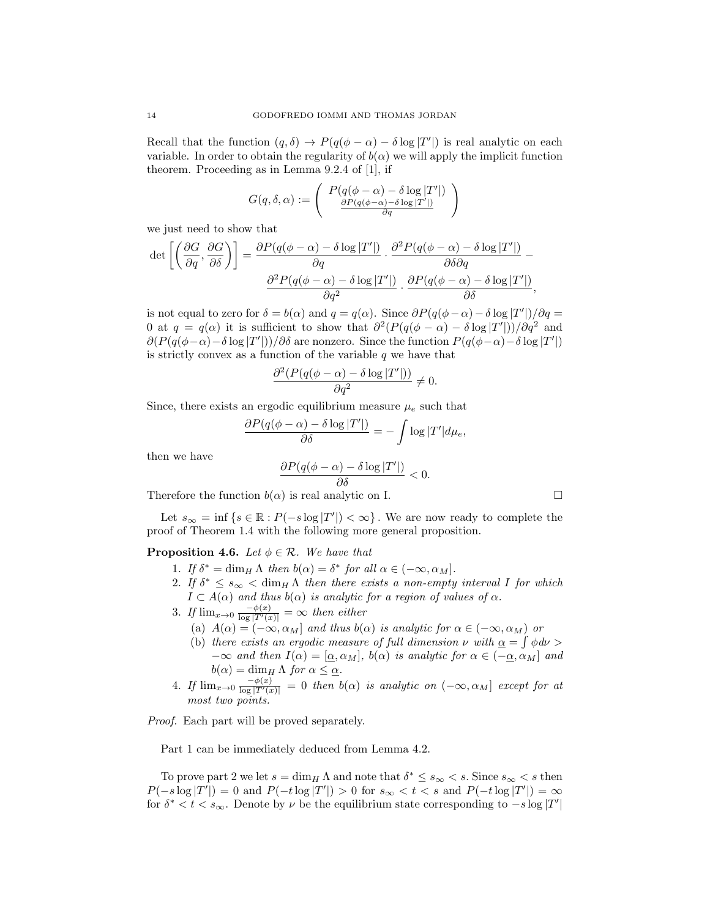Recall that the function  $(q, \delta) \to P(q(\phi - \alpha) - \delta \log |T'|)$  is real analytic on each variable. In order to obtain the regularity of  $b(\alpha)$  we will apply the implicit function theorem. Proceeding as in Lemma 9.2.4 of [1], if

$$
G(q,\delta,\alpha):=\left(\begin{array}{c} P(q(\phi-\alpha)-\delta\log |T'|)\\ \frac{\partial P(q(\phi-\alpha)-\delta\log |T'|)}{\partial q} \end{array}\right)
$$

we just need to show that

$$
\det\left[\left(\frac{\partial G}{\partial q}, \frac{\partial G}{\partial \delta}\right)\right] = \frac{\partial P(q(\phi - \alpha) - \delta \log |T'|)}{\partial q} \cdot \frac{\partial^2 P(q(\phi - \alpha) - \delta \log |T'|)}{\partial \delta \partial q} - \frac{\partial^2 P(q(\phi - \alpha) - \delta \log |T'|)}{\partial q^2} \cdot \frac{\partial P(q(\phi - \alpha) - \delta \log |T'|)}{\partial \delta},
$$

is not equal to zero for  $\delta = b(\alpha)$  and  $q = q(\alpha)$ . Since  $\partial P(q(\phi - \alpha) - \delta \log |T'|)/\partial q =$ 0 at  $q = q(\alpha)$  it is sufficient to show that  $\partial^2(P(q(\phi - \alpha) - \delta \log |T'|))/\partial q^2$  and  $\partial (P(q(\phi-\alpha)-\delta \log |T'|))/\partial \delta$  are nonzero. Since the function  $P(q(\phi-\alpha)-\delta \log |T'|)$ is strictly convex as a function of the variable  $q$  we have that

$$
\frac{\partial^2 (P(q(\phi - \alpha) - \delta \log |T'|))}{\partial q^2} \neq 0.
$$

Since, there exists an ergodic equilibrium measure  $\mu_e$  such that

$$
\frac{\partial P(q(\phi - \alpha) - \delta \log |T'|)}{\partial \delta} = -\int \log |T'| d\mu_e,
$$

$$
\frac{\partial P(q(\phi - \alpha) - \delta \log |T'|)}{\partial \delta} < 0.
$$

then we have

Therefore the function  $b(\alpha)$  is real analytic on I.

Let  $s_{\infty} = \inf \{ s \in \mathbb{R} : P(-s \log |T'|) < \infty \}$ . We are now ready to complete the proof of Theorem 1.4 with the following more general proposition.

**Proposition 4.6.** Let  $\phi \in \mathcal{R}$ . We have that

- 1. If  $\delta^* = \dim_H \Lambda$  then  $b(\alpha) = \delta^*$  for all  $\alpha \in (-\infty, \alpha_M]$ .
- 2. If  $\delta^* \leq s_{\infty} < \dim_H \Lambda$  then there exists a non-empty interval I for which  $I \subset A(\alpha)$  and thus  $b(\alpha)$  is analytic for a region of values of  $\alpha$ .
- 3. If  $\lim_{x\to 0} \frac{-\phi(x)}{\log |T'(x)|} = \infty$  then either
	- (a)  $A(\alpha) = (-\infty, \alpha_M]$  and thus  $b(\alpha)$  is analytic for  $\alpha \in (-\infty, \alpha_M)$  or
	- (b) there exists an ergodic measure of full dimension  $\nu$  with  $\underline{\alpha} = \int \phi d\nu >$  $-\infty$  and then  $I(\alpha)=[\alpha, \alpha_M], b(\alpha)$  is analytic for  $\alpha \in (-\alpha, \alpha_M]$  and  $b(\alpha) = \dim_H \Lambda$  for  $\alpha \leq \underline{\alpha}$ .
- 4. If  $\lim_{x\to 0} \frac{-\phi(x)}{\log |T'(x)|} = 0$  then  $b(\alpha)$  is analytic on  $(-\infty, \alpha_M]$  except for at most two points.

Proof. Each part will be proved separately.

Part 1 can be immediately deduced from Lemma 4.2.

To prove part 2 we let  $s = \dim_H \Lambda$  and note that  $\delta^* \leq s_\infty < s$ . Since  $s_\infty < s$  then  $P(-s \log |T'|) = 0$  and  $P(-t \log |T'|) > 0$  for  $s_{\infty} < t < s$  and  $P(-t \log |T'|) = \infty$ for  $\delta^* < t < s_{\infty}$ . Denote by  $\nu$  be the equilibrium state corresponding to  $-s \log |T'|$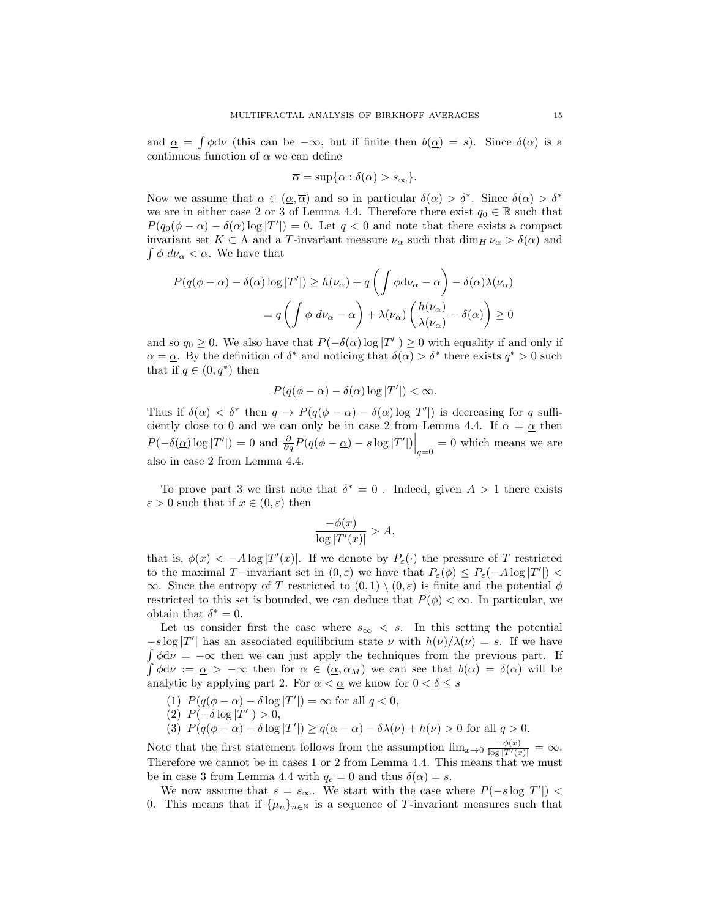and  $\alpha = \int \phi \, d\nu$  (this can be  $-\infty$ , but if finite then  $b(\alpha) = s$ ). Since  $\delta(\alpha)$  is a continuous function of  $\alpha$  we can define

$$
\overline{\alpha} = \sup\{\alpha : \delta(\alpha) > s_{\infty}\}.
$$

Now we assume that  $\alpha \in (\alpha, \overline{\alpha})$  and so in particular  $\delta(\alpha) > \delta^*$ . Since  $\delta(\alpha) > \delta^*$ we are in either case 2 or 3 of Lemma 4.4. Therefore there exist  $q_0 \in \mathbb{R}$  such that  $P(q_0(\phi - \alpha) - \delta(\alpha) \log |T'|) = 0$ . Let  $q < 0$  and note that there exists a compact invariant set  $K \subset \Lambda$  and a T-invariant measure  $\nu_{\alpha}$  such that  $\dim_H \nu_{\alpha} > \delta(\alpha)$  and  $\int \phi \, d\nu_{\alpha} < \alpha$ . We have that

$$
P(q(\phi - \alpha) - \delta(\alpha) \log |T'|) \ge h(\nu_{\alpha}) + q \left( \int \phi \, d\nu_{\alpha} - \alpha \right) - \delta(\alpha) \lambda(\nu_{\alpha})
$$

$$
= q \left( \int \phi \, d\nu_{\alpha} - \alpha \right) + \lambda(\nu_{\alpha}) \left( \frac{h(\nu_{\alpha})}{\lambda(\nu_{\alpha})} - \delta(\alpha) \right) \ge 0
$$

and so  $q_0 \geq 0$ . We also have that  $P(-\delta(\alpha) \log |T'|) \geq 0$  with equality if and only if  $\alpha = \underline{\alpha}$ . By the definition of  $\delta^*$  and noticing that  $\delta(\alpha) > \delta^*$  there exists  $q^* > 0$  such that if  $q \in (0, q^*)$  then

$$
P(q(\phi - \alpha) - \delta(\alpha) \log |T'|) < \infty.
$$

Thus if  $\delta(\alpha) < \delta^*$  then  $q \to P(q(\phi - \alpha) - \delta(\alpha) \log |T'|)$  is decreasing for q sufficiently close to 0 and we can only be in case 2 from Lemma 4.4. If  $\alpha = \underline{\alpha}$  then  $P(-\delta(\underline{\alpha})\log |T'|) = 0$  and  $\frac{\partial}{\partial q}P(q(\phi - \underline{\alpha}) - s \log |T'|)\Big|_{q=0} = 0$  which means we are also in case 2 from Lemma 4.4.

To prove part 3 we first note that  $\delta^* = 0$ . Indeed, given  $A > 1$  there exists  $\varepsilon > 0$  such that if  $x \in (0, \varepsilon)$  then

$$
\frac{-\phi(x)}{\log |T'(x)|} > A,
$$

that is,  $\phi(x) < -A \log |T'(x)|$ . If we denote by  $P_{\varepsilon}(\cdot)$  the pressure of T restricted to the maximal T-invariant set in  $(0, \varepsilon)$  we have that  $P_{\varepsilon}(\phi) \le P_{\varepsilon}(-A \log |T'|)$  $\infty$ . Since the entropy of T restricted to  $(0,1) \setminus (0,\varepsilon)$  is finite and the potential  $\phi$ restricted to this set is bounded, we can deduce that  $P(\phi) < \infty$ . In particular, we obtain that  $\delta^* = 0$ .

Let us consider first the case where  $s_{\infty} < s$ . In this setting the potential  $-s \log |T'|$  has an associated equilibrium state  $\nu$  with  $h(\nu)/\lambda(\nu) = s$ . If we have  $\int \phi d\nu = -\infty$  then we can just apply the techniques from the previous part. If  $\int \phi d\nu := \underline{\alpha} > -\infty$  then for  $\alpha \in (\underline{\alpha}, \alpha_M)$  we can see that  $b(\alpha) = \delta(\alpha)$  will be analytic by applying part 2. For  $\alpha < \alpha$  we know for  $0 < \delta \leq s$ 

- (1)  $P(q(\phi \alpha) \delta \log |T'|) = \infty$  for all  $q < 0$ ,
- (2) P(−δ log |T" |) > 0,
- (3)  $P(q(\phi \alpha) \delta \log |T'|) \ge q(\underline{\alpha} \alpha) \delta \lambda(\nu) + h(\nu) > 0$  for all  $q > 0$ .

Note that the first statement follows from the assumption  $\lim_{x\to 0} \frac{-\phi(x)}{\log |T'(x)|} = \infty$ . Therefore we cannot be in cases 1 or 2 from Lemma 4.4. This means that we must be in case 3 from Lemma 4.4 with  $q_c = 0$  and thus  $\delta(\alpha) = s$ .

We now assume that  $s = s_{\infty}$ . We start with the case where  $P(-s \log |T'|)$  < 0. This means that if  $\{\mu_n\}_{n\in\mathbb{N}}$  is a sequence of T-invariant measures such that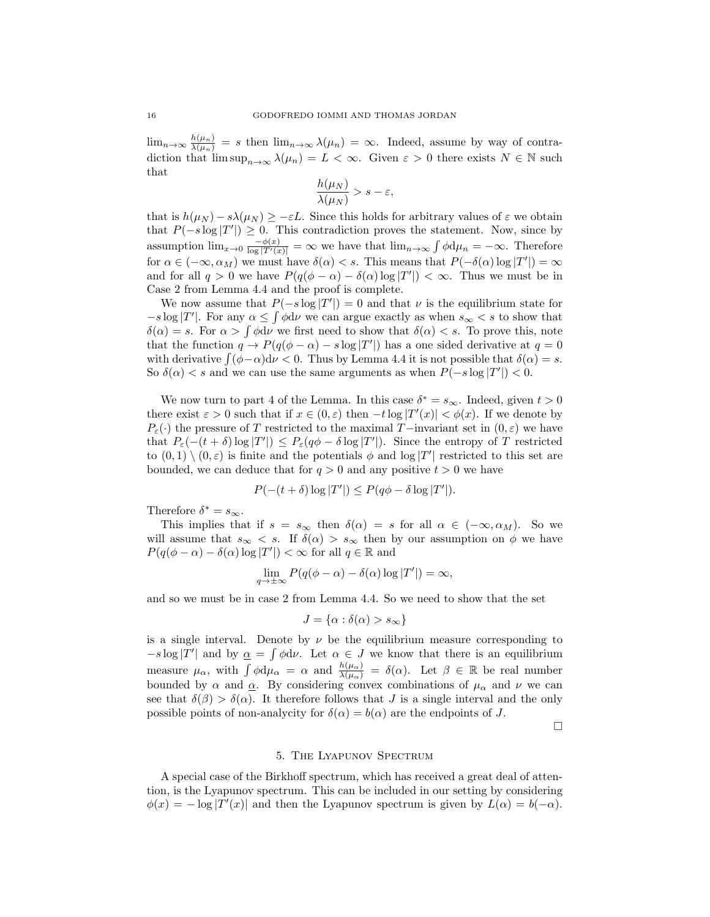$\lim_{n\to\infty}\frac{h(\mu_n)}{\lambda(\mu_n)}=s$  then  $\lim_{n\to\infty}\lambda(\mu_n)=\infty$ . Indeed, assume by way of contradiction that  $\limsup_{n\to\infty}\lambda(\mu_n)=L<\infty$ . Given  $\varepsilon>0$  there exists  $N\in\mathbb{N}$  such that

$$
\frac{h(\mu_N)}{\lambda(\mu_N)} > s - \varepsilon,
$$

that is  $h(\mu_N) - s\lambda(\mu_N) \geq -\varepsilon L$ . Since this holds for arbitrary values of  $\varepsilon$  we obtain that  $P(-s \log |T'|) \geq 0$ . This contradiction proves the statement. Now, since by assumption  $\lim_{x\to 0} \frac{-\phi(x)}{\log |T'(x)|} = \infty$  we have that  $\lim_{n\to\infty} \int \phi \, d\mu_n = -\infty$ . Therefore for  $\alpha \in (-\infty, \alpha_M)$  we must have  $\delta(\alpha) < s$ . This means that  $P(-\delta(\alpha) \log |T'|) = \infty$ and for all  $q > 0$  we have  $P(q(\phi - \alpha) - \delta(\alpha) \log |T'|) < \infty$ . Thus we must be in Case 2 from Lemma 4.4 and the proof is complete.

We now assume that  $P(-s \log |T'|) = 0$  and that  $\nu$  is the equilibrium state for  $-s \log |T'|$ . For any  $\alpha \leq \int \phi d\nu$  we can argue exactly as when  $s_{\infty} < s$  to show that  $\delta(\alpha) = s$ . For  $\alpha > \int \phi \, d\nu$  we first need to show that  $\delta(\alpha) < s$ . To prove this, note that the function  $q \to P(q(\phi - \alpha) - s \log |T'|)$  has a one sided derivative at  $q = 0$ with derivative  $\int (\phi - \alpha) d\nu < 0$ . Thus by Lemma 4.4 it is not possible that  $\delta(\alpha) = s$ . So  $\delta(\alpha) < s$  and we can use the same arguments as when  $P(-s \log |T'|) < 0$ .

We now turn to part 4 of the Lemma. In this case  $\delta^* = s_{\infty}$ . Indeed, given  $t > 0$ there exist  $\varepsilon > 0$  such that if  $x \in (0, \varepsilon)$  then  $-t \log |T'(x)| < \phi(x)$ . If we denote by P<sub>ε</sub>(·) the pressure of T restricted to the maximal T−invariant set in  $(0, \varepsilon)$  we have that  $P_{\varepsilon}(-(t+\delta)\log |T'|) \leq P_{\varepsilon}(q\phi-\delta\log |T'|)$ . Since the entropy of T restricted to  $(0,1) \setminus (0,\varepsilon)$  is finite and the potentials  $\phi$  and  $\log |T'|$  restricted to this set are bounded, we can deduce that for  $q > 0$  and any positive  $t > 0$  we have

$$
P(-(t+\delta)\log |T'|) \le P(q\phi - \delta \log |T'|).
$$

Therefore  $\delta^* = s_{\infty}$ .

This implies that if  $s = s_{\infty}$  then  $\delta(\alpha) = s$  for all  $\alpha \in (-\infty, \alpha_M)$ . So we will assume that  $s_{\infty} < s$ . If  $\delta(\alpha) > s_{\infty}$  then by our assumption on  $\phi$  we have  $P(q(\phi - \alpha) - \delta(\alpha) \log |T'|) < \infty$  for all  $q \in \mathbb{R}$  and

$$
\lim_{q \to \pm \infty} P(q(\phi - \alpha) - \delta(\alpha) \log |T'|) = \infty,
$$

and so we must be in case 2 from Lemma 4.4. So we need to show that the set

$$
J = \{\alpha : \delta(\alpha) > s_{\infty}\}\
$$

is a single interval. Denote by  $\nu$  be the equilibrium measure corresponding to  $-s \log |T'|$  and by  $\alpha = \int \phi \, d\nu$ . Let  $\alpha \in J$  we know that there is an equilibrium measure  $\mu_{\alpha}$ , with  $\int \phi d\mu_{\alpha} = \alpha$  and  $\frac{h(\mu_{\alpha})}{\lambda(\mu_{\alpha})} = \delta(\alpha)$ . Let  $\beta \in \mathbb{R}$  be real number bounded by  $\alpha$  and  $\alpha$ . By considering convex combinations of  $\mu_{\alpha}$  and  $\nu$  we can see that  $\delta(\beta) > \delta(\alpha)$ . It therefore follows that J is a single interval and the only possible points of non-analycity for  $\delta(\alpha) = b(\alpha)$  are the endpoints of J.

 $\Box$ 

### 5. The Lyapunov Spectrum

A special case of the Birkhoff spectrum, which has received a great deal of attention, is the Lyapunov spectrum. This can be included in our setting by considering  $\phi(x) = -\log |T'(x)|$  and then the Lyapunov spectrum is given by  $L(\alpha) = b(-\alpha)$ .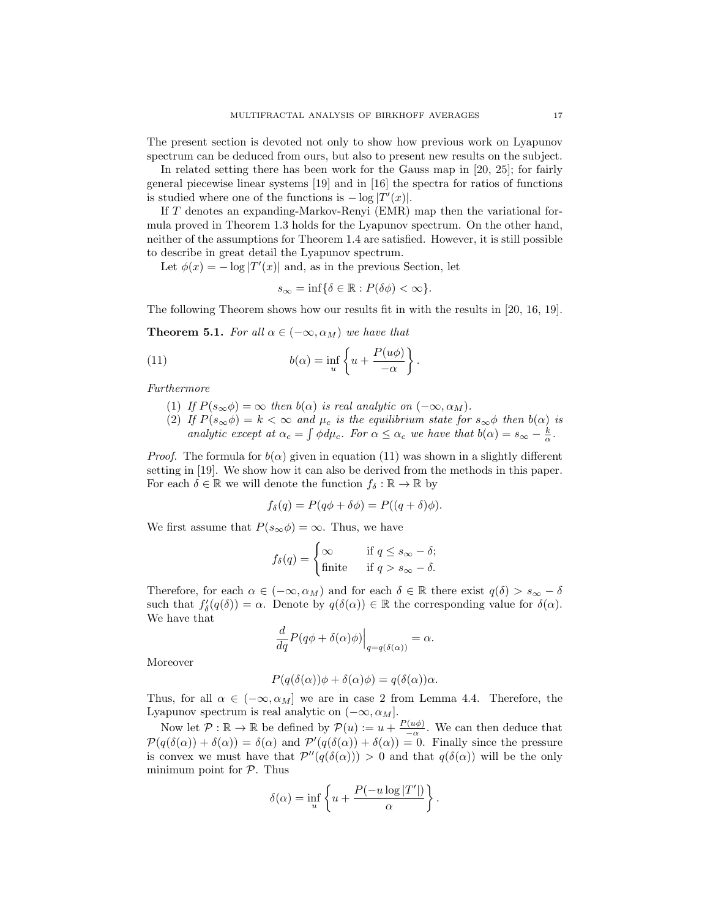The present section is devoted not only to show how previous work on Lyapunov spectrum can be deduced from ours, but also to present new results on the subject.

In related setting there has been work for the Gauss map in [20, 25]; for fairly general piecewise linear systems [19] and in [16] the spectra for ratios of functions is studied where one of the functions is  $-\log |T'(x)|$ .

If T denotes an expanding-Markov-Renyi (EMR) map then the variational formula proved in Theorem 1.3 holds for the Lyapunov spectrum. On the other hand, neither of the assumptions for Theorem 1.4 are satisfied. However, it is still possible to describe in great detail the Lyapunov spectrum.

Let  $\phi(x) = -\log |T'(x)|$  and, as in the previous Section, let

$$
s_{\infty} = \inf \{ \delta \in \mathbb{R} : P(\delta \phi) < \infty \}.
$$

The following Theorem shows how our results fit in with the results in [20, 16, 19].

**Theorem 5.1.** For all  $\alpha \in (-\infty, \alpha_M)$  we have that

(11) 
$$
b(\alpha) = \inf_{u} \left\{ u + \frac{P(u\phi)}{-\alpha} \right\}
$$

Furthermore

- (1) If  $P(s_{\infty}\phi) = \infty$  then  $b(\alpha)$  is real analytic on  $(-\infty, \alpha_M)$ .
- (2) If  $P(s_{\infty}\phi) = k < \infty$  and  $\mu_c$  is the equilibrium state for  $s_{\infty}\phi$  then  $b(\alpha)$  is analytic except at  $\alpha_c = \int \phi d\mu_c$ . For  $\alpha \leq \alpha_c$  we have that  $b(\alpha) = s_{\infty} - \frac{k}{\alpha}$ .

.

*Proof.* The formula for  $b(\alpha)$  given in equation (11) was shown in a slightly different setting in [19]. We show how it can also be derived from the methods in this paper. For each  $\delta \in \mathbb{R}$  we will denote the function  $f_{\delta} : \mathbb{R} \to \mathbb{R}$  by

$$
f_{\delta}(q) = P(q\phi + \delta\phi) = P((q + \delta)\phi).
$$

We first assume that  $P(s_{\infty}\phi) = \infty$ . Thus, we have

$$
f_{\delta}(q) = \begin{cases} \infty & \text{if } q \le s_{\infty} - \delta; \\ \text{finite} & \text{if } q > s_{\infty} - \delta. \end{cases}
$$

Therefore, for each  $\alpha \in (-\infty, \alpha_M)$  and for each  $\delta \in \mathbb{R}$  there exist  $q(\delta) > s_{\infty} - \delta$ such that  $f'_{\delta}(q(\delta)) = \alpha$ . Denote by  $q(\delta(\alpha)) \in \mathbb{R}$  the corresponding value for  $\delta(\alpha)$ . We have that

$$
\frac{d}{dq}P(q\phi + \delta(\alpha)\phi)\Big|_{q=q(\delta(\alpha))} = \alpha.
$$

Moreover

$$
P(q(\delta(\alpha))\phi + \delta(\alpha)\phi) = q(\delta(\alpha))\alpha.
$$

Thus, for all  $\alpha \in (-\infty, \alpha_M]$  we are in case 2 from Lemma 4.4. Therefore, the Lyapunov spectrum is real analytic on  $(-\infty, \alpha_M]$ .

Now let  $\mathcal{P}: \mathbb{R} \to \mathbb{R}$  be defined by  $\mathcal{P}(u) := u + \frac{P(u\phi)}{\alpha}$ . We can then deduce that  $\mathcal{P}(q(\delta(\alpha)) + \delta(\alpha)) = \delta(\alpha)$  and  $\mathcal{P}'(q(\delta(\alpha)) + \delta(\alpha)) = 0$ . Finally since the pressure is convex we must have that  $\mathcal{P}''(q(\delta(\alpha))) > 0$  and that  $q(\delta(\alpha))$  will be the only minimum point for  $P$ . Thus

$$
\delta(\alpha) = \inf_{u} \left\{ u + \frac{P(-u \log |T'|)}{\alpha} \right\}.
$$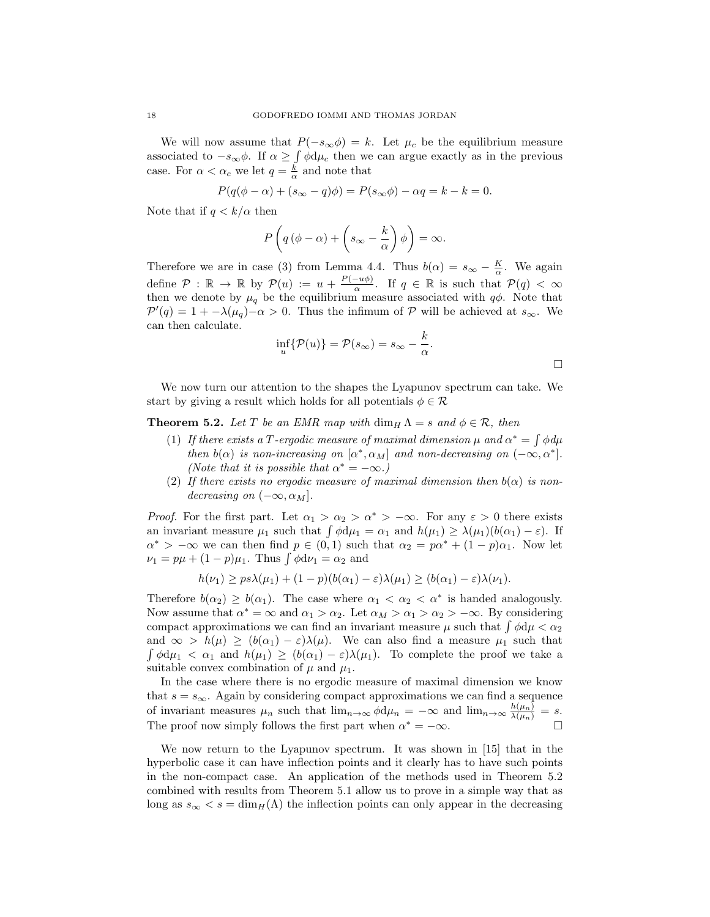We will now assume that  $P(-s_{\infty}\phi) = k$ . Let  $\mu_c$  be the equilibrium measure associated to  $-s_{\infty}\phi$ . If  $\alpha \geq \int \phi \, d\mu_c$  then we can argue exactly as in the previous case. For  $\alpha < \alpha_c$  we let  $q = \frac{k}{\alpha}$  and note that

$$
P(q(\phi - \alpha) + (s_{\infty} - q)\phi) = P(s_{\infty}\phi) - \alpha q = k - k = 0.
$$

Note that if  $q < k/\alpha$  then

$$
P\left(q\left(\phi-\alpha\right)+\left(s_{\infty}-\frac{k}{\alpha}\right)\phi\right)=\infty.
$$

Therefore we are in case (3) from Lemma 4.4. Thus  $b(\alpha) = s_{\infty} - \frac{K}{\alpha}$ . We again define  $\mathcal{P}: \mathbb{R} \to \mathbb{R}$  by  $\mathcal{P}(u) := u + \frac{P(-u\phi)}{\alpha}$ . If  $q \in \mathbb{R}$  is such that  $\mathcal{P}(q) < \infty$ then we denote by  $\mu_q$  be the equilibrium measure associated with  $q\phi$ . Note that  $\mathcal{P}'(q) = 1 + -\lambda(\mu_q) - \alpha > 0$ . Thus the infimum of  $\mathcal P$  will be achieved at  $s_{\infty}$ . We can then calculate.

$$
\inf_{u} \{ \mathcal{P}(u) \} = \mathcal{P}(s_{\infty}) = s_{\infty} - \frac{k}{\alpha}.
$$

We now turn our attention to the shapes the Lyapunov spectrum can take. We start by giving a result which holds for all potentials  $\phi \in \mathcal{R}$ 

**Theorem 5.2.** Let T be an EMR map with  $\dim_H \Lambda = s$  and  $\phi \in \mathcal{R}$ , then

- (1) If there exists a T-ergodic measure of maximal dimension  $\mu$  and  $\alpha^* = \int \phi d\mu$ then  $b(\alpha)$  is non-increasing on  $[\alpha^*, \alpha_M]$  and non-decreasing on  $(-\infty, \alpha^*]$ . (Note that it is possible that  $\alpha^* = -\infty$ .)
- (2) If there exists no ergodic measure of maximal dimension then  $b(\alpha)$  is nondecreasing on  $(-\infty, \alpha_M]$ .

*Proof.* For the first part. Let  $\alpha_1 > \alpha_2 > \alpha^* > -\infty$ . For any  $\varepsilon > 0$  there exists an invariant measure  $\mu_1$  such that  $\int \phi d\mu_1 = \alpha_1$  and  $h(\mu_1) \geq \lambda(\mu_1)(b(\alpha_1) - \varepsilon)$ . If  $\alpha^*$  >  $-\infty$  we can then find  $p \in (0,1)$  such that  $\alpha_2 = p\alpha^* + (1-p)\alpha_1$ . Now let  $\nu_1 = p\mu + (1-p)\mu_1$ . Thus  $\int \phi d\nu_1 = \alpha_2$  and

$$
h(\nu_1) \geq p s \lambda(\mu_1) + (1-p)(b(\alpha_1) - \varepsilon) \lambda(\mu_1) \geq (b(\alpha_1) - \varepsilon) \lambda(\nu_1).
$$

Therefore  $b(\alpha_2) \geq b(\alpha_1)$ . The case where  $\alpha_1 < \alpha_2 < \alpha^*$  is handed analogously. Now assume that  $\alpha^* = \infty$  and  $\alpha_1 > \alpha_2$ . Let  $\alpha_M > \alpha_1 > \alpha_2 > -\infty$ . By considering compact approximations we can find an invariant measure  $\mu$  such that  $\int \phi d\mu < \alpha_2$ and  $\infty > h(\mu) \ge (b(\alpha_1) - \varepsilon)\lambda(\mu)$ . We can also find a measure  $\mu_1$  such that  $\int \phi d\mu_1 < \alpha_1$  and  $h(\mu_1) \ge (b(\alpha_1) - \varepsilon) \lambda(\mu_1)$ . To complete the proof we take a suitable convex combination of  $\mu$  and  $\mu_1$ .

In the case where there is no ergodic measure of maximal dimension we know that  $s = s_{\infty}$ . Again by considering compact approximations we can find a sequence of invariant measures  $\mu_n$  such that  $\lim_{n\to\infty} \phi \, d\mu_n = -\infty$  and  $\lim_{n\to\infty} \frac{h(\mu_n)}{\lambda(\mu_n)} = s$ . The proof now simply follows the first part when  $\alpha^* = -\infty$ .

We now return to the Lyapunov spectrum. It was shown in [15] that in the hyperbolic case it can have inflection points and it clearly has to have such points in the non-compact case. An application of the methods used in Theorem 5.2 combined with results from Theorem 5.1 allow us to prove in a simple way that as long as  $s_{\infty} < s = \dim_H(\Lambda)$  the inflection points can only appear in the decreasing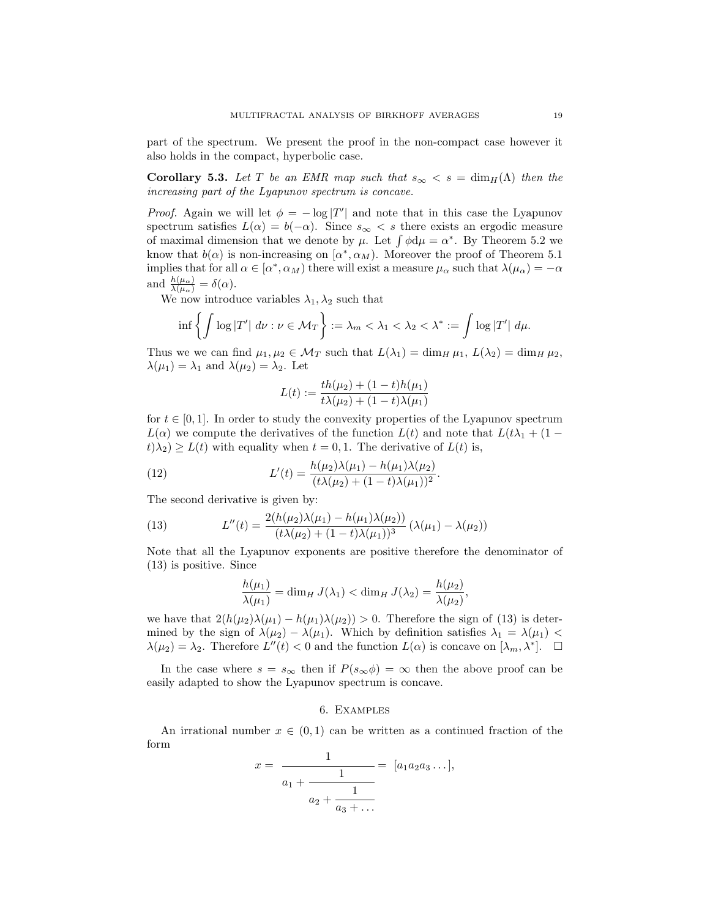part of the spectrum. We present the proof in the non-compact case however it also holds in the compact, hyperbolic case.

Corollary 5.3. Let T be an EMR map such that  $s_{\infty} < s = \dim_{H}(\Lambda)$  then the increasing part of the Lyapunov spectrum is concave.

*Proof.* Again we will let  $\phi = -\log |T'|$  and note that in this case the Lyapunov spectrum satisfies  $L(\alpha) = b(-\alpha)$ . Since  $s_{\infty} < s$  there exists an ergodic measure of maximal dimension that we denote by  $\mu$ . Let  $\int \phi d\mu = \alpha^*$ . By Theorem 5.2 we know that  $b(\alpha)$  is non-increasing on  $[\alpha^*, \alpha_M)$ . Moreover the proof of Theorem 5.1 implies that for all  $\alpha \in [\alpha^*, \alpha_M)$  there will exist a measure  $\mu_\alpha$  such that  $\lambda(\mu_\alpha) = -\alpha$ and  $\frac{h(\mu_{\alpha})}{\lambda(\mu_{\alpha})} = \delta(\alpha)$ .

We now introduce variables  $\lambda_1, \lambda_2$  such that

$$
\inf \left\{ \int \log |T'| \ d\nu : \nu \in \mathcal{M}_T \right\} := \lambda_m < \lambda_1 < \lambda_2 < \lambda^* := \int \log |T'| \ d\mu.
$$

Thus we we can find  $\mu_1, \mu_2 \in \mathcal{M}_T$  such that  $L(\lambda_1) = \dim_H \mu_1$ ,  $L(\lambda_2) = \dim_H \mu_2$ ,  $\lambda(\mu_1) = \lambda_1$  and  $\lambda(\mu_2) = \lambda_2$ . Let

$$
L(t) := \frac{th(\mu_2) + (1 - t)h(\mu_1)}{t\lambda(\mu_2) + (1 - t)\lambda(\mu_1)}
$$

for  $t \in [0, 1]$ . In order to study the convexity properties of the Lyapunov spectrum  $L(\alpha)$  we compute the derivatives of the function  $L(t)$  and note that  $L(t\lambda_1 + (1-t)\lambda_2)$  $t(\lambda_2) \geq L(t)$  with equality when  $t = 0, 1$ . The derivative of  $L(t)$  is,

(12) 
$$
L'(t) = \frac{h(\mu_2)\lambda(\mu_1) - h(\mu_1)\lambda(\mu_2)}{(t\lambda(\mu_2) + (1-t)\lambda(\mu_1))^2}.
$$

The second derivative is given by:

(13) 
$$
L''(t) = \frac{2(h(\mu_2)\lambda(\mu_1) - h(\mu_1)\lambda(\mu_2))}{(t\lambda(\mu_2) + (1-t)\lambda(\mu_1))^3} (\lambda(\mu_1) - \lambda(\mu_2))
$$

Note that all the Lyapunov exponents are positive therefore the denominator of (13) is positive. Since

$$
\frac{h(\mu_1)}{\lambda(\mu_1)} = \dim_H J(\lambda_1) < \dim_H J(\lambda_2) = \frac{h(\mu_2)}{\lambda(\mu_2)},
$$

we have that  $2(h(\mu_2)\lambda(\mu_1) - h(\mu_1)\lambda(\mu_2)) > 0$ . Therefore the sign of (13) is determined by the sign of  $\lambda(\mu_2) - \lambda(\mu_1)$ . Which by definition satisfies  $\lambda_1 = \lambda(\mu_1)$  $\lambda(\mu_2) = \lambda_2$ . Therefore  $L''(t) < 0$  and the function  $L(\alpha)$  is concave on  $[\lambda_m, \lambda^*]$ .  $\Box$ 

In the case where  $s = s_{\infty}$  then if  $P(s_{\infty}\phi) = \infty$  then the above proof can be easily adapted to show the Lyapunov spectrum is concave.

### 6. Examples

An irrational number  $x \in (0,1)$  can be written as a continued fraction of the form

$$
x = \frac{1}{a_1 + \frac{1}{a_2 + \frac{1}{a_3 + \dots}}} = [a_1 a_2 a_3 \dots],
$$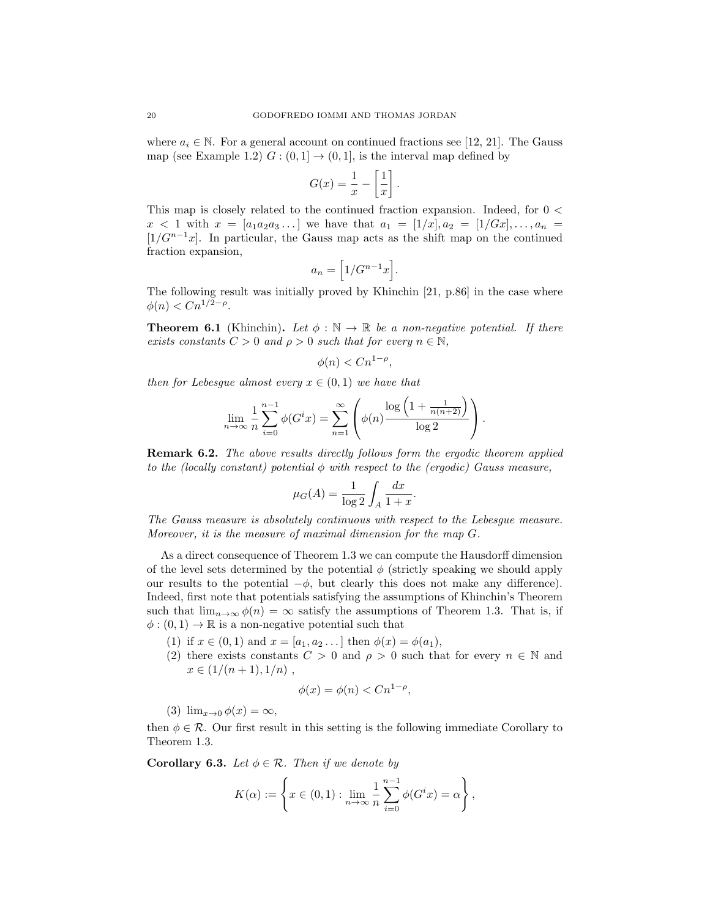where  $a_i \in \mathbb{N}$ . For a general account on continued fractions see [12, 21]. The Gauss map (see Example 1.2)  $G:(0,1] \rightarrow (0,1]$ , is the interval map defined by

$$
G(x) = \frac{1}{x} - \left[\frac{1}{x}\right]
$$

.

This map is closely related to the continued fraction expansion. Indeed, for 0 <  $x < 1$  with  $x = [a_1 a_2 a_3 \dots]$  we have that  $a_1 = [1/x], a_2 = [1/Gx], \dots, a_n =$  $\left[1/G^{n-1}x\right]$ . In particular, the Gauss map acts as the shift map on the continued fraction expansion,

$$
a_n = \left[1/G^{n-1}x\right].
$$

The following result was initially proved by Khinchin [21, p.86] in the case where  $\phi(n) < C n^{1/2 - \rho}$ .

**Theorem 6.1** (Khinchin). Let  $\phi : \mathbb{N} \to \mathbb{R}$  be a non-negative potential. If there exists constants  $C > 0$  and  $\rho > 0$  such that for every  $n \in \mathbb{N}$ ,

$$
\phi(n) < C n^{1-\rho},
$$

then for Lebesgue almost every  $x \in (0,1)$  we have that

$$
\lim_{n \to \infty} \frac{1}{n} \sum_{i=0}^{n-1} \phi(G^i x) = \sum_{n=1}^{\infty} \left( \phi(n) \frac{\log \left(1 + \frac{1}{n(n+2)}\right)}{\log 2} \right).
$$

**Remark 6.2.** The above results directly follows form the ergodic theorem applied to the (locally constant) potential  $\phi$  with respect to the (ergodic) Gauss measure,

$$
\mu_G(A) = \frac{1}{\log 2} \int_A \frac{dx}{1+x}.
$$

The Gauss measure is absolutely continuous with respect to the Lebesgue measure. Moreover, it is the measure of maximal dimension for the map G.

As a direct consequence of Theorem 1.3 we can compute the Hausdorff dimension of the level sets determined by the potential  $\phi$  (strictly speaking we should apply our results to the potential  $-\phi$ , but clearly this does not make any difference). Indeed, first note that potentials satisfying the assumptions of Khinchin's Theorem such that  $\lim_{n\to\infty}\phi(n)=\infty$  satisfy the assumptions of Theorem 1.3. That is, if  $\phi: (0,1) \to \mathbb{R}$  is a non-negative potential such that

- (1) if  $x \in (0,1)$  and  $x = [a_1, a_2 \dots]$  then  $\phi(x) = \phi(a_1)$ ,
- (2) there exists constants  $C > 0$  and  $\rho > 0$  such that for every  $n \in \mathbb{N}$  and  $x \in (1/(n+1), 1/n)$ ,

$$
\phi(x) = \phi(n) < C n^{1-\rho},
$$

(3)  $\lim_{x\to 0} \phi(x) = \infty$ ,

then  $\phi \in \mathcal{R}$ . Our first result in this setting is the following immediate Corollary to Theorem 1.3.

**Corollary 6.3.** Let  $\phi \in \mathcal{R}$ . Then if we denote by

$$
K(\alpha) := \left\{ x \in (0,1) : \lim_{n \to \infty} \frac{1}{n} \sum_{i=0}^{n-1} \phi(G^i x) = \alpha \right\},\,
$$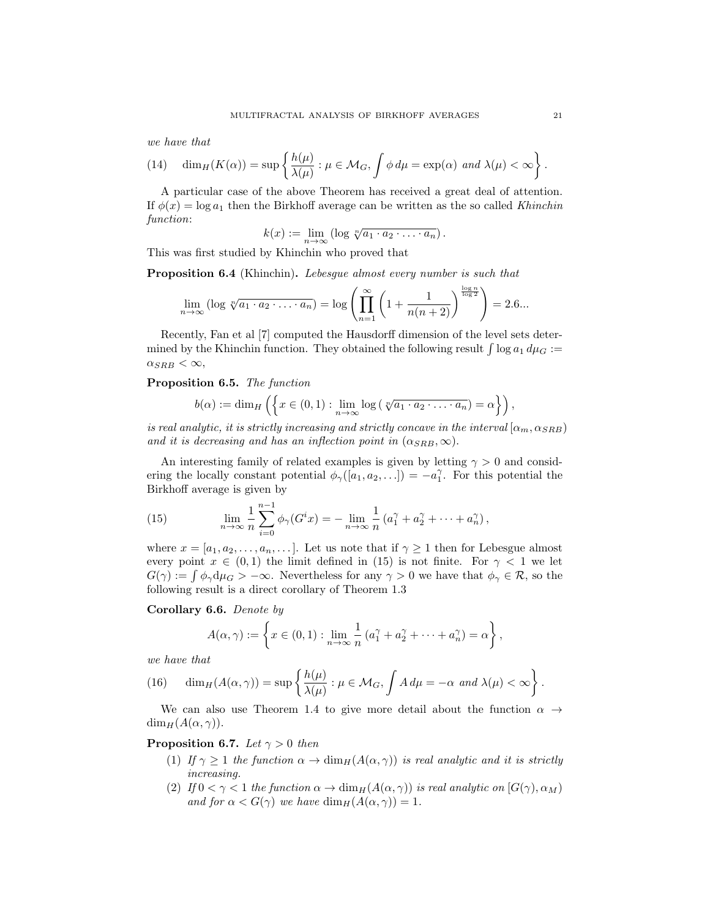we have that

(14) 
$$
\dim_H(K(\alpha)) = \sup \left\{ \frac{h(\mu)}{\lambda(\mu)} : \mu \in \mathcal{M}_G, \int \phi \, d\mu = \exp(\alpha) \text{ and } \lambda(\mu) < \infty \right\}.
$$

A particular case of the above Theorem has received a great deal of attention. If  $\phi(x) = \log a_1$  then the Birkhoff average can be written as the so called Khinchin function:

$$
k(x) := \lim_{n \to \infty} (\log \sqrt[n]{a_1 \cdot a_2 \cdot \ldots \cdot a_n}).
$$

This was first studied by Khinchin who proved that

Proposition 6.4 (Khinchin). Lebesgue almost every number is such that

$$
\lim_{n \to \infty} (\log \sqrt[n]{a_1 \cdot a_2 \cdot \ldots \cdot a_n}) = \log \left( \prod_{n=1}^{\infty} \left( 1 + \frac{1}{n(n+2)} \right)^{\frac{\log n}{\log 2}} \right) = 2.6...
$$

Recently, Fan et al [7] computed the Hausdorff dimension of the level sets determined by the Khinchin function. They obtained the following result  $\int \log a_1 d\mu_G$  :=  $\alpha_{SRB} < \infty$ ,

# Proposition 6.5. The function

$$
b(\alpha) := \dim_H \left( \left\{ x \in (0,1) : \lim_{n \to \infty} \log \left( \sqrt[n]{a_1 \cdot a_2 \cdot \ldots \cdot a_n} \right) = \alpha \right\} \right),
$$

is real analytic, it is strictly increasing and strictly concave in the interval  $[\alpha_m, \alpha_{SRB}]$ and it is decreasing and has an inflection point in  $(\alpha_{SRB}, \infty)$ .

An interesting family of related examples is given by letting  $\gamma > 0$  and considering the locally constant potential  $\phi_{\gamma}([a_1, a_2, \ldots]) = -a_1^{\gamma}$ . For this potential the Birkhoff average is given by

(15) 
$$
\lim_{n \to \infty} \frac{1}{n} \sum_{i=0}^{n-1} \phi_{\gamma}(G^{i}x) = -\lim_{n \to \infty} \frac{1}{n} (a_{1}^{\gamma} + a_{2}^{\gamma} + \dots + a_{n}^{\gamma}),
$$

where  $x = [a_1, a_2, \ldots, a_n, \ldots]$ . Let us note that if  $\gamma \geq 1$  then for Lebesgue almost every point  $x \in (0,1)$  the limit defined in (15) is not finite. For  $\gamma < 1$  we let  $G(\gamma) := \int \phi_{\gamma} d\mu_G > -\infty$ . Nevertheless for any  $\gamma > 0$  we have that  $\phi_{\gamma} \in \mathcal{R}$ , so the following result is a direct corollary of Theorem 1.3

### Corollary 6.6. Denote by

$$
A(\alpha, \gamma) := \left\{ x \in (0,1) : \lim_{n \to \infty} \frac{1}{n} \left( a_1^{\gamma} + a_2^{\gamma} + \dots + a_n^{\gamma} \right) = \alpha \right\},\
$$

we have that

(16) 
$$
\dim_H(A(\alpha,\gamma)) = \sup \left\{ \frac{h(\mu)}{\lambda(\mu)} : \mu \in \mathcal{M}_G, \int A \, d\mu = -\alpha \text{ and } \lambda(\mu) < \infty \right\}.
$$

We can also use Theorem 1.4 to give more detail about the function  $\alpha \rightarrow$  $\dim_H(A(\alpha, \gamma)).$ 

## **Proposition 6.7.** Let  $\gamma > 0$  then

- (1) If  $\gamma \geq 1$  the function  $\alpha \to \dim_H(A(\alpha, \gamma))$  is real analytic and it is strictly increasing.
- (2) If  $0 < \gamma < 1$  the function  $\alpha \to \dim_H(A(\alpha, \gamma))$  is real analytic on  $[G(\gamma), \alpha_M)$ and for  $\alpha < G(\gamma)$  we have  $\dim_H(A(\alpha, \gamma)) = 1$ .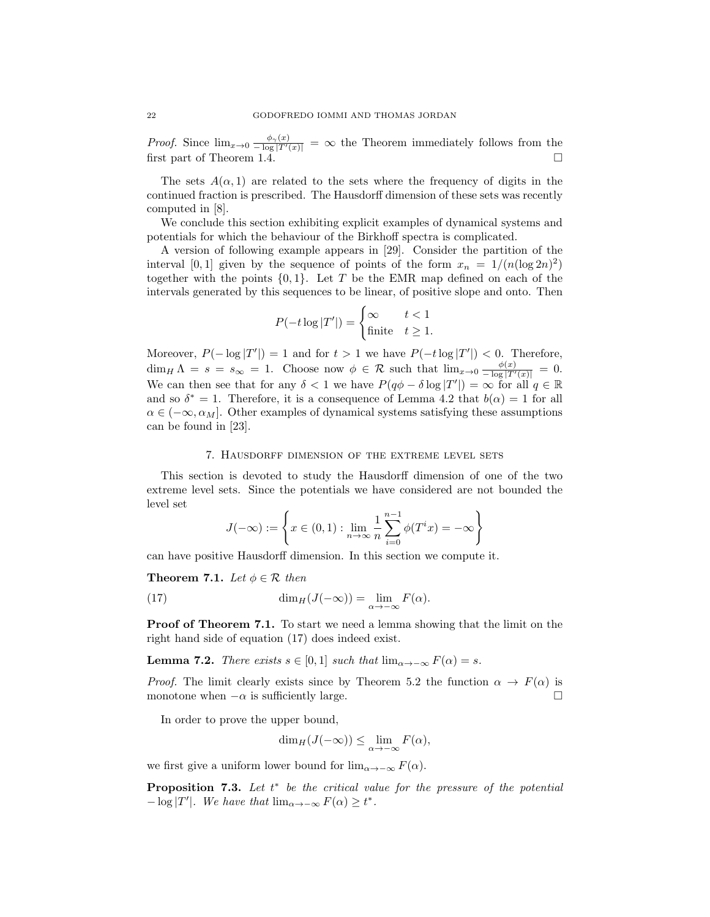*Proof.* Since  $\lim_{x\to 0} \frac{\phi_{\gamma}(x)}{-\log |T'(x)|} = \infty$  the Theorem immediately follows from the first part of Theorem 1.4.  $\Box$ 

The sets  $A(\alpha, 1)$  are related to the sets where the frequency of digits in the continued fraction is prescribed. The Hausdorff dimension of these sets was recently computed in [8].

We conclude this section exhibiting explicit examples of dynamical systems and potentials for which the behaviour of the Birkhoff spectra is complicated.

A version of following example appears in [29]. Consider the partition of the interval [0, 1] given by the sequence of points of the form  $x_n = 1/(n(\log 2n)^2)$ together with the points  $\{0, 1\}$ . Let T be the EMR map defined on each of the intervals generated by this sequences to be linear, of positive slope and onto. Then

$$
P(-t \log |T'|) = \begin{cases} \infty & t < 1\\ \text{finite} & t \ge 1. \end{cases}
$$

Moreover,  $P(-\log |T'|) = 1$  and for  $t > 1$  we have  $P(-t \log |T'|) < 0$ . Therefore,  $\dim_H \Lambda = s = s_\infty = 1$ . Choose now  $\phi \in \mathcal{R}$  such that  $\lim_{x\to 0} \frac{\phi(x)}{-\log |T'(x)|} = 0$ . We can then see that for any  $\delta < 1$  we have  $P(q\phi - \delta \log |T'|) = \infty$  for all  $q \in \mathbb{R}$ and so  $\delta^* = 1$ . Therefore, it is a consequence of Lemma 4.2 that  $b(\alpha) = 1$  for all  $\alpha \in (-\infty, \alpha_M]$ . Other examples of dynamical systems satisfying these assumptions can be found in [23].

#### 7. Hausdorff dimension of the extreme level sets

This section is devoted to study the Hausdorff dimension of one of the two extreme level sets. Since the potentials we have considered are not bounded the level set

$$
J(-\infty) := \left\{ x \in (0,1) : \lim_{n \to \infty} \frac{1}{n} \sum_{i=0}^{n-1} \phi(T^i x) = -\infty \right\}
$$

can have positive Hausdorff dimension. In this section we compute it.

**Theorem 7.1.** Let  $\phi \in \mathcal{R}$  then

(17) 
$$
\dim_H(J(-\infty)) = \lim_{\alpha \to -\infty} F(\alpha).
$$

Proof of Theorem 7.1. To start we need a lemma showing that the limit on the right hand side of equation (17) does indeed exist.

**Lemma 7.2.** There exists  $s \in [0,1]$  such that  $\lim_{\alpha \to -\infty} F(\alpha) = s$ .

*Proof.* The limit clearly exists since by Theorem 5.2 the function  $\alpha \to F(\alpha)$  is monotone when  $-\alpha$  is sufficiently large. monotone when  $-\alpha$  is sufficiently large.

In order to prove the upper bound,

$$
\dim_H(J(-\infty)) \le \lim_{\alpha \to -\infty} F(\alpha),
$$

we first give a uniform lower bound for  $\lim_{\alpha \to -\infty} F(\alpha)$ .

**Proposition 7.3.** Let  $t^*$  be the critical value for the pressure of the potential  $-\log|T'|$ . We have that  $\lim_{\alpha \to -\infty} F(\alpha) \geq t^*$ .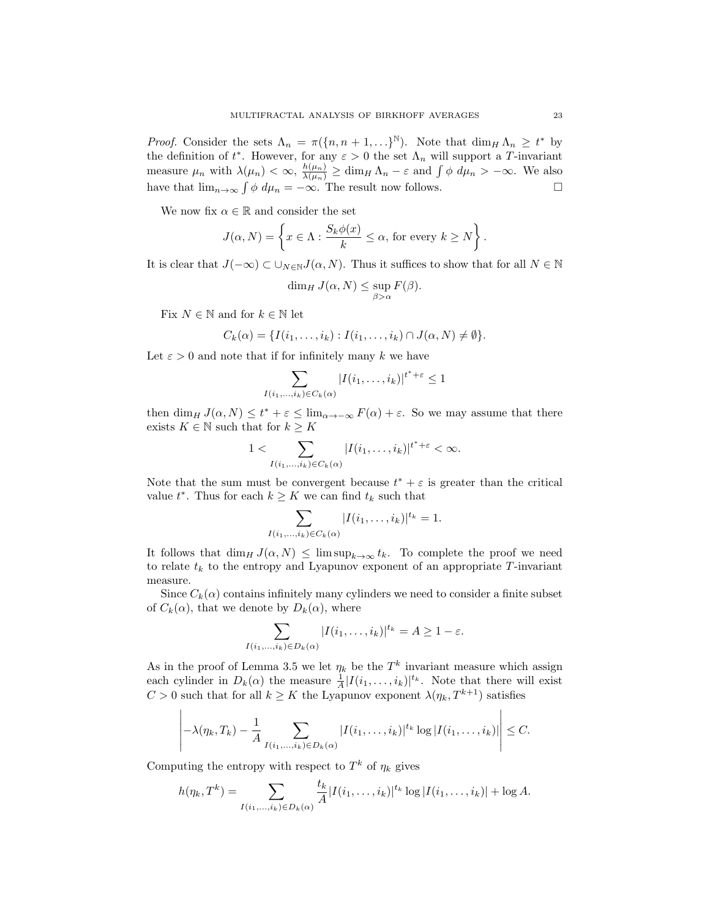*Proof.* Consider the sets  $\Lambda_n = \pi(\lbrace n, n+1, \ldots \rbrace^{\mathbb{N}})$ . Note that  $\dim_H \Lambda_n \geq t^*$  by the definition of  $t^*$ . However, for any  $\varepsilon > 0$  the set  $\Lambda_n$  will support a T-invariant measure  $\mu_n$  with  $\lambda(\mu_n) < \infty$ ,  $\frac{h(\mu_n)}{\lambda(\mu_n)} \ge \dim_H \Lambda_n - \varepsilon$  and  $\int \phi \ d\mu_n > -\infty$ . We also have that  $\lim_{n\to\infty} \int \phi \ d\mu_n = -\infty$ . The result now follows.

We now fix  $\alpha \in \mathbb{R}$  and consider the set

$$
J(\alpha, N) = \left\{ x \in \Lambda : \frac{S_k \phi(x)}{k} \le \alpha, \text{ for every } k \ge N \right\}.
$$

It is clear that  $J(-\infty) \subset \bigcup_{N\in\mathbb{N}} J(\alpha, N)$ . Thus it suffices to show that for all  $N \in \mathbb{N}$ 

$$
\dim_H J(\alpha, N) \le \sup_{\beta > \alpha} F(\beta).
$$

Fix  $N \in \mathbb{N}$  and for  $k \in \mathbb{N}$  let

$$
C_k(\alpha) = \{I(i_1,\ldots,i_k): I(i_1,\ldots,i_k) \cap J(\alpha,N) \neq \emptyset\}.
$$

Let  $\varepsilon > 0$  and note that if for infinitely many k we have

$$
\sum_{I(i_1,\ldots,i_k)\in C_k(\alpha)}|I(i_1,\ldots,i_k)|^{t^*+\varepsilon}\leq 1
$$

then  $\dim_H J(\alpha, N) \leq t^* + \varepsilon \leq \lim_{\alpha \to -\infty} F(\alpha) + \varepsilon$ . So we may assume that there exists  $K \in \mathbb{N}$  such that for  $k \geq K$ 

$$
1 < \sum_{I(i_1,\ldots,i_k) \in C_k(\alpha)} |I(i_1,\ldots,i_k)|^{t^* + \varepsilon} < \infty.
$$

Note that the sum must be convergent because  $t^* + \varepsilon$  is greater than the critical value  $t^*$ . Thus for each  $k \geq K$  we can find  $t_k$  such that

$$
\sum_{I(i_1,\ldots,i_k)\in C_k(\alpha)}|I(i_1,\ldots,i_k)|^{t_k}=1.
$$

It follows that  $\dim_H J(\alpha, N) \leq \limsup_{k\to\infty} t_k$ . To complete the proof we need to relate  $t_k$  to the entropy and Lyapunov exponent of an appropriate T-invariant measure.

Since  $C_k(\alpha)$  contains infinitely many cylinders we need to consider a finite subset of  $C_k(\alpha)$ , that we denote by  $D_k(\alpha)$ , where

$$
\sum_{I(i_1,\ldots,i_k)\in D_k(\alpha)}|I(i_1,\ldots,i_k)|^{t_k}=A\geq 1-\varepsilon.
$$

As in the proof of Lemma 3.5 we let  $\eta_k$  be the  $T^k$  invariant measure which assign each cylinder in  $D_k(\alpha)$  the measure  $\frac{1}{A} |I(i_1,\ldots,i_k)|^{t_k}$ . Note that there will exist  $C > 0$  such that for all  $k \geq K$  the Lyapunov exponent  $\lambda(\eta_k, T^{k+1})$  satisfies

$$
-\lambda(\eta_k,T_k)-\frac{1}{A}\sum_{I(i_1,\ldots,i_k)\in D_k(\alpha)}|I(i_1,\ldots,i_k)|^{t_k}\log|I(i_1,\ldots,i_k)|\Big| \leq C.
$$

Computing the entropy with respect to  $T^k$  of  $\eta_k$  gives

 $\overline{\phantom{a}}$  $\overline{1}$  $\overline{1}$  $\overline{1}$  $\overline{1}$  $\overline{\phantom{a}}$ 

$$
h(\eta_k, T^k) = \sum_{I(i_1,...,i_k) \in D_k(\alpha)} \frac{t_k}{A} |I(i_1,...,i_k)|^{t_k} \log |I(i_1,...,i_k)| + \log A.
$$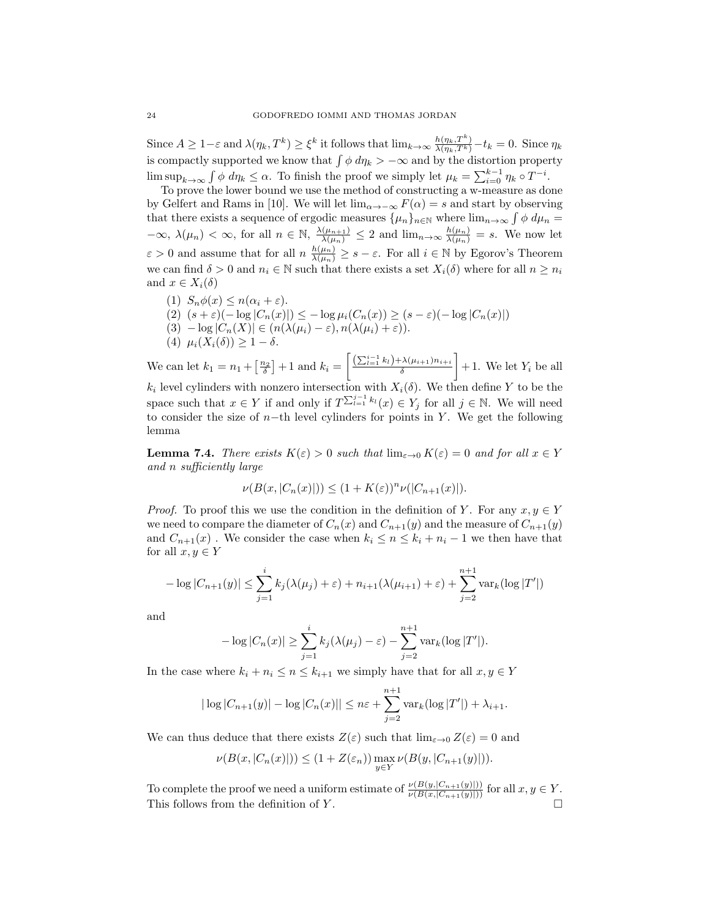Since  $A \geq 1-\varepsilon$  and  $\lambda(\eta_k, T^k) \geq \xi^k$  it follows that  $\lim_{k \to \infty} \frac{h(\eta_k, T^k)}{\lambda(\eta_k, T^k)} - t_k = 0$ . Since  $\eta_k$ is compactly supported we know that  $\int \phi \, d\eta_k > -\infty$  and by the distortion property  $\limsup_{k\to\infty}\int \phi \ d\eta_k \leq \alpha.$  To finish the proof we simply let  $\mu_k = \sum_{i=0}^{k-1} \eta_k \circ T^{-i}.$ 

To prove the lower bound we use the method of constructing a w-measure as done by Gelfert and Rams in [10]. We will let  $\lim_{\alpha \to \infty} F(\alpha) = s$  and start by observing that there exists a sequence of ergodic measures  $\{\mu_n\}_{n\in\mathbb{N}}$  where  $\lim_{n\to\infty}\int \phi \,d\mu_n =$  $-\infty$ ,  $\lambda(\mu_n) < \infty$ , for all  $n \in \mathbb{N}$ ,  $\frac{\lambda(\mu_{n+1})}{\lambda(\mu_n)} \leq 2$  and  $\lim_{n \to \infty} \frac{h(\mu_n)}{\lambda(\mu_n)} = s$ . We now let  $\varepsilon > 0$  and assume that for all  $n \frac{h(\mu_n)}{\lambda(\mu_n)} \geq s - \varepsilon$ . For all  $i \in \mathbb{N}$  by Egorov's Theorem we can find  $\delta > 0$  and  $n_i \in \mathbb{N}$  such that there exists a set  $X_i(\delta)$  where for all  $n \geq n_i$ and  $x \in X_i(\delta)$ 

(1)  $S_n \phi(x) \leq n(\alpha_i + \varepsilon)$ . (2)  $(s+\varepsilon)(-\log|C_n(x)|) \leq -\log\mu_i(C_n(x)) \geq (s-\varepsilon)(-\log|C_n(x)|)$ (3)  $-\log|C_n(X)| \in (n(\lambda(\mu_i)-\varepsilon), n(\lambda(\mu_i)+\varepsilon)).$ (4)  $\mu_i(X_i(\delta)) \geq 1 - \delta.$ 

We can let  $k_1 = n_1 + \left[\frac{n_2}{\delta}\right] + 1$  and  $k_i =$  $\left[ \frac{\left( \sum_{l=1}^{i-1}k_l\right) +\lambda(\mu_{i+1})n_{i+i}}{\delta} \right]$ 1  $+1$ . We let  $Y_i$  be all  $k_i$  level cylinders with nonzero intersection with  $X_i(\delta)$ . We then define Y to be the space such that  $x \in Y$  if and only if  $T^{\sum_{l=1}^{j-1} k_l}(x) \in Y_j$  for all  $j \in \mathbb{N}$ . We will need to consider the size of n−th level cylinders for points in Y. We get the following lemma

**Lemma 7.4.** There exists  $K(\varepsilon) > 0$  such that  $\lim_{\varepsilon \to 0} K(\varepsilon) = 0$  and for all  $x \in Y$ and n sufficiently large

$$
\nu(B(x, |C_n(x)|)) \le (1 + K(\varepsilon))^n \nu(|C_{n+1}(x)|).
$$

*Proof.* To proof this we use the condition in the definition of Y. For any  $x, y \in Y$ we need to compare the diameter of  $C_n(x)$  and  $C_{n+1}(y)$  and the measure of  $C_{n+1}(y)$ and  $C_{n+1}(x)$ . We consider the case when  $k_i \leq n \leq k_i + n_i - 1$  we then have that for all  $x, y \in Y$ 

$$
-\log|C_{n+1}(y)| \le \sum_{j=1}^{i} k_j(\lambda(\mu_j) + \varepsilon) + n_{i+1}(\lambda(\mu_{i+1}) + \varepsilon) + \sum_{j=2}^{n+1} \text{var}_k(\log|T'|)
$$

and

$$
-\log|C_n(x)| \geq \sum_{j=1}^i k_j(\lambda(\mu_j) - \varepsilon) - \sum_{j=2}^{n+1} \text{var}_k(\log|T'|).
$$

In the case where  $k_i + n_i \leq n \leq k_{i+1}$  we simply have that for all  $x, y \in Y$ 

$$
|\log |C_{n+1}(y)| - \log |C_n(x)|| \le n\varepsilon + \sum_{j=2}^{n+1} \text{var}_k(\log |T'|) + \lambda_{i+1}.
$$

We can thus deduce that there exists  $Z(\varepsilon)$  such that  $\lim_{\varepsilon\to 0} Z(\varepsilon) = 0$  and

$$
\nu(B(x, |C_n(x)|)) \le (1 + Z(\varepsilon_n)) \max_{y \in Y} \nu(B(y, |C_{n+1}(y)|)).
$$

To complete the proof we need a uniform estimate of  $\frac{\nu(B(y,|C_{n+1}(y)|))}{\nu(B(x,|C_{n+1}(y)|))}$  for all  $x, y \in Y$ . This follows from the definition of Y.  $\Box$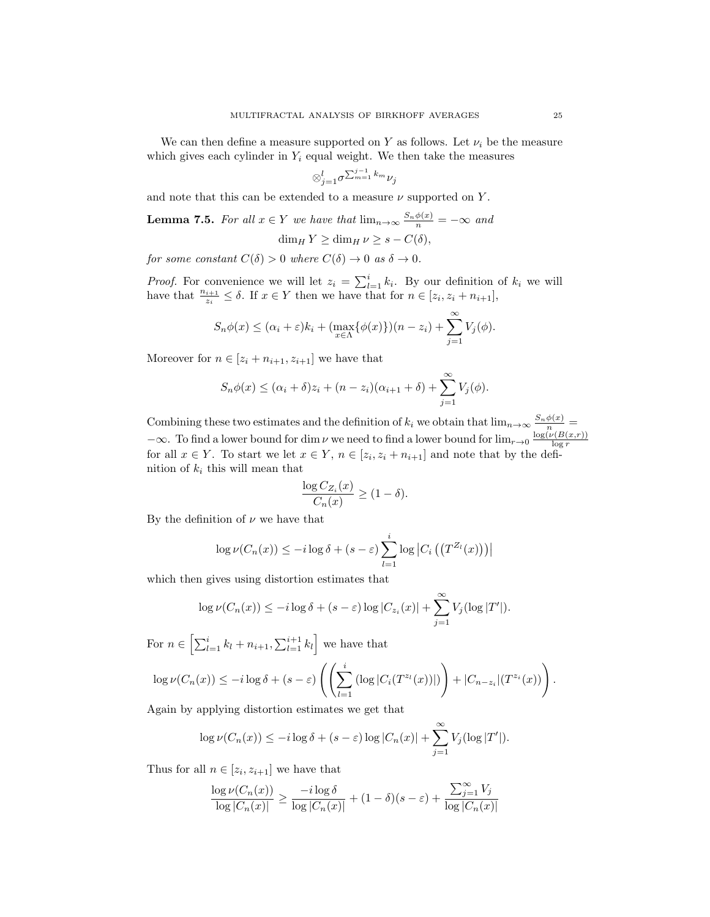We can then define a measure supported on Y as follows. Let  $\nu_i$  be the measure which gives each cylinder in  $Y_i$  equal weight. We then take the measures

$$
\otimes_{j=1}^l \sigma^{\sum_{m=1}^{j-1} k_m} \nu_j
$$

and note that this can be extended to a measure  $\nu$  supported on Y.

**Lemma 7.5.** For all 
$$
x \in Y
$$
 we have that  $\lim_{n \to \infty} \frac{S_n \phi(x)}{n} = -\infty$  and  $\dim_H Y \ge \dim_H \nu \ge s - C(\delta)$ ,

for some constant  $C(\delta) > 0$  where  $C(\delta) \to 0$  as  $\delta \to 0$ .

*Proof.* For convenience we will let  $z_i = \sum_{l=1}^i k_i$ . By our definition of  $k_i$  we will have that  $\frac{n_{i+1}}{z_i} \leq \delta$ . If  $x \in Y$  then we have that for  $n \in [z_i, z_i + n_{i+1}],$ 

$$
S_n\phi(x) \leq (\alpha_i + \varepsilon)k_i + (\max_{x \in \Lambda} {\{\phi(x)\}})(n - z_i) + \sum_{j=1}^{\infty} V_j(\phi).
$$

Moreover for  $n \in [z_i + n_{i+1}, z_{i+1}]$  we have that

$$
S_n\phi(x) \leq (\alpha_i + \delta)z_i + (n - z_i)(\alpha_{i+1} + \delta) + \sum_{j=1}^{\infty} V_j(\phi).
$$

Combining these two estimates and the definition of  $k_i$  we obtain that  $\lim_{n\to\infty} \frac{S_n\phi(x)}{n}$  $-\infty$ . To find a lower bound for dim  $\nu$  we need to find a lower bound for  $\lim_{r\to 0} \frac{\log(\nu(B(x,r)))}{\log r}$ for all  $x \in Y$ . To start we let  $x \in Y$ ,  $n \in [z_i, z_i + n_{i+1}]$  and note that by the definition of  $k_i$  this will mean that

$$
\frac{\log C_{Z_i}(x)}{C_n(x)} \ge (1 - \delta).
$$

By the definition of  $\nu$  we have that

$$
\log \nu(C_n(x)) \leq -i \log \delta + (s - \varepsilon) \sum_{l=1}^i \log \left| C_i \left( \left( T^{Z_l}(x) \right) \right) \right|
$$

which then gives using distortion estimates that

$$
\log \nu(C_n(x)) \leq -i \log \delta + (s - \varepsilon) \log |C_{z_i}(x)| + \sum_{j=1}^{\infty} V_j(\log |T'|).
$$

For  $n \in \left[ \sum_{l=1}^{i} k_l + n_{i+1}, \sum_{l=1}^{i+1} k_l \right]$  we have that  $\log \nu(C_n(x)) \leq -i \log \delta + (s - \varepsilon) \left( \left( \sum_{i=1}^n \right)$  $_{l=1}$  $(\log |C_i(T^{z_l}(x))|)$  $\Bigg) + |C_{n-z_i}|(T^{z_i}(x))\Bigg).$ 

Again by applying distortion estimates we get that

$$
\log \nu(C_n(x)) \leq -i \log \delta + (s - \varepsilon) \log |C_n(x)| + \sum_{j=1}^{\infty} V_j(\log |T'|).
$$

Thus for all  $n \in [z_i, z_{i+1}]$  we have that

$$
\frac{\log\nu(C_n(x))}{\log|C_n(x)|}\geq \frac{-i\log\delta}{\log|C_n(x)|}+(1-\delta)(s-\varepsilon)+\frac{\sum_{j=1}^\infty V_j}{\log|C_n(x)|}
$$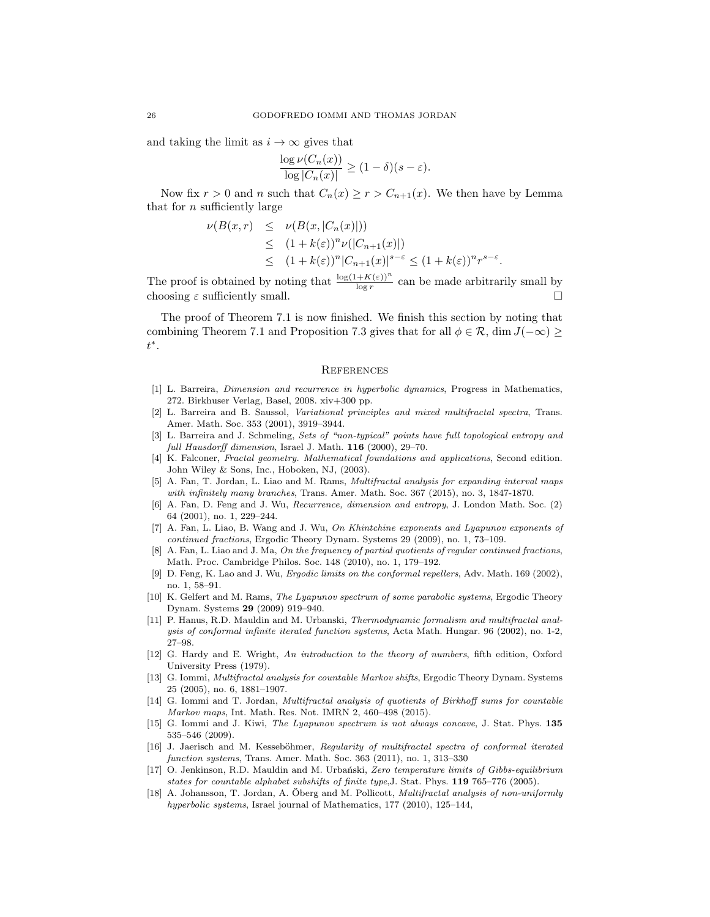and taking the limit as  $i \to \infty$  gives that

$$
\frac{\log \nu(C_n(x))}{\log |C_n(x)|} \ge (1-\delta)(s-\varepsilon).
$$

Now fix  $r > 0$  and n such that  $C_n(x) \ge r > C_{n+1}(x)$ . We then have by Lemma that for  $n$  sufficiently large

$$
\nu(B(x,r) \leq \nu(B(x, |C_n(x)|))
$$
  
\n
$$
\leq (1 + k(\varepsilon))^n \nu(|C_{n+1}(x)|)
$$
  
\n
$$
\leq (1 + k(\varepsilon))^n |C_{n+1}(x)|^{s-\varepsilon} \leq (1 + k(\varepsilon))^n r^{s-\varepsilon}.
$$

The proof is obtained by noting that  $\frac{\log(1+K(\varepsilon))^n}{\log r}$  can be made arbitrarily small by choosing  $\varepsilon$  sufficiently small.  $\Box$ 

The proof of Theorem 7.1 is now finished. We finish this section by noting that combining Theorem 7.1 and Proposition 7.3 gives that for all  $\phi \in \mathcal{R}$ , dim  $J(-\infty) \ge$ t ∗.

#### **REFERENCES**

- [1] L. Barreira, Dimension and recurrence in hyperbolic dynamics, Progress in Mathematics, 272. Birkhuser Verlag, Basel, 2008. xiv+300 pp.
- [2] L. Barreira and B. Saussol, Variational principles and mixed multifractal spectra, Trans. Amer. Math. Soc. 353 (2001), 3919–3944.
- [3] L. Barreira and J. Schmeling, Sets of "non-typical" points have full topological entropy and full Hausdorff dimension, Israel J. Math. 116 (2000), 29-70.
- [4] K. Falconer, Fractal geometry. Mathematical foundations and applications, Second edition. John Wiley & Sons, Inc., Hoboken, NJ, (2003).
- [5] A. Fan, T. Jordan, L. Liao and M. Rams, Multifractal analysis for expanding interval maps with infinitely many branches, Trans. Amer. Math. Soc. 367 (2015), no. 3, 1847-1870.
- [6] A. Fan, D. Feng and J. Wu, Recurrence, dimension and entropy, J. London Math. Soc. (2) 64 (2001), no. 1, 229–244.
- [7] A. Fan, L. Liao, B. Wang and J. Wu, On Khintchine exponents and Lyapunov exponents of continued fractions, Ergodic Theory Dynam. Systems 29 (2009), no. 1, 73–109.
- [8] A. Fan, L. Liao and J. Ma, On the frequency of partial quotients of regular continued fractions, Math. Proc. Cambridge Philos. Soc. 148 (2010), no. 1, 179–192.
- [9] D. Feng, K. Lao and J. Wu, Ergodic limits on the conformal repellers, Adv. Math. 169 (2002), no. 1, 58–91.
- [10] K. Gelfert and M. Rams, The Lyapunov spectrum of some parabolic systems, Ergodic Theory Dynam. Systems 29 (2009) 919–940.
- [11] P. Hanus, R.D. Mauldin and M. Urbanski, Thermodynamic formalism and multifractal analysis of conformal infinite iterated function systems, Acta Math. Hungar. 96 (2002), no. 1-2, 27–98.
- [12] G. Hardy and E. Wright, An introduction to the theory of numbers, fifth edition, Oxford University Press (1979).
- [13] G. Iommi, Multifractal analysis for countable Markov shifts, Ergodic Theory Dynam. Systems 25 (2005), no. 6, 1881–1907.
- [14] G. Iommi and T. Jordan, *Multifractal analysis of quotients of Birkhoff sums for countable* Markov maps, Int. Math. Res. Not. IMRN 2, 460–498 (2015).
- [15] G. Iommi and J. Kiwi, The Lyapunov spectrum is not always concave, J. Stat. Phys. 135 535–546 (2009).
- [16] J. Jaerisch and M. Kesseböhmer, Regularity of multifractal spectra of conformal iterated function systems, Trans. Amer. Math. Soc. 363 (2011), no. 1, 313–330
- [17] O. Jenkinson, R.D. Mauldin and M. Urbański, Zero temperature limits of Gibbs-equilibrium states for countable alphabet subshifts of finite type,J. Stat. Phys. 119 765–776 (2005).
- [18] A. Johansson, T. Jordan, A. Öberg and M. Pollicott, *Multifractal analysis of non-uniformly* hyperbolic systems, Israel journal of Mathematics, 177 (2010), 125–144,